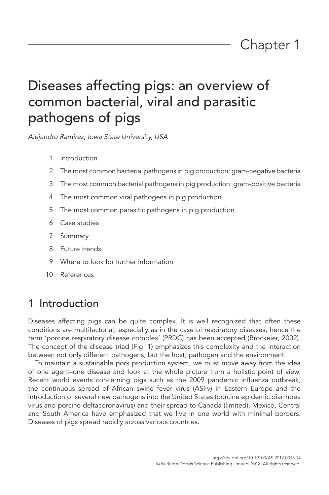*Alejandro Ramirez, Iowa State University, USA*

- 1 Introduction
- 2 The most common bacterial pathogens in pig production: gram-negative bacteria
- 3 The most common bacterial pathogens in pig production: gram-positive bacteria
- 4 The most common viral pathogens in pig production
- 5 The most common parasitic pathogens in pig production
- 6 Case studies
- 7 Summary
- 8 Future trends
- 9 Where to look for further information
- 10 References

## 1 Introduction

Diseases affecting pigs can be quite complex. It is well recognized that often these conditions are multifactorial, especially as in the case of respiratory diseases, hence the term 'porcine respiratory disease complex' (PRDC) has been accepted (Brockeier, 2002). The concept of the disease triad (Fig. 1) emphasizes this complexity and the interaction between not only different pathogens, but the host, pathogen and the environment.

To maintain a sustainable pork production system, we must move away from the idea of one agent–one disease and look at the whole picture from a holistic point of view. Recent world events concerning pigs such as the 2009 pandemic influenza outbreak, the continuous spread of African swine fever virus (ASFv) in Eastern Europe and the introduction of several new pathogens into the United States (porcine epidemic diarrhoea virus and porcine deltacoronavirus) and their spread to Canada (limited), Mexico, Central and South America have emphasized that we live in one world with minimal borders. Diseases of pigs spread rapidly across various countries.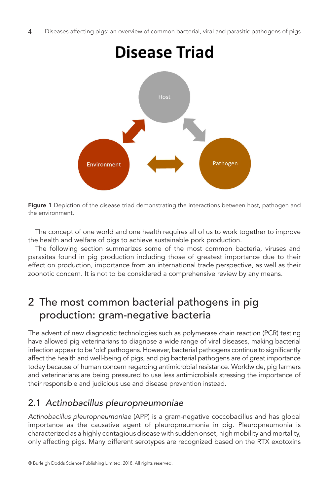

Figure 1 Depiction of the disease triad demonstrating the interactions between host, pathogen and the environment.

The concept of one world and one health requires all of us to work together to improve the health and welfare of pigs to achieve sustainable pork production.

The following section summarizes some of the most common bacteria, viruses and parasites found in pig production including those of greatest importance due to their effect on production, importance from an international trade perspective, as well as their zoonotic concern. It is not to be considered a comprehensive review by any means.

## 2 The most common bacterial pathogens in pig production: gram-negative bacteria

The advent of new diagnostic technologies such as polymerase chain reaction (PCR) testing have allowed pig veterinarians to diagnose a wide range of viral diseases, making bacterial infection appear to be 'old' pathogens. However, bacterial pathogens continue to significantly affect the health and well-being of pigs, and pig bacterial pathogens are of great importance today because of human concern regarding antimicrobial resistance. Worldwide, pig farmers and veterinarians are being pressured to use less antimicrobials stressing the importance of their responsible and judicious use and disease prevention instead.

## 2.1 *Actinobacillus pleuropneumoniae*

*Actinobacillus pleuropneumoniae* (APP) is a gram-negative coccobacillus and has global importance as the causative agent of pleuropneumonia in pig. Pleuropneumonia is characterized as a highly contagious disease with sudden onset, high mobility and mortality, only affecting pigs. Many different serotypes are recognized based on the RTX exotoxins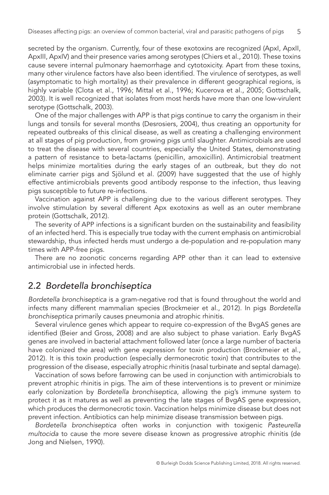secreted by the organism. Currently, four of these exotoxins are recognized (ApxI, ApxII, ApxIII, ApxIV) and their presence varies among serotypes (Chiers et al., 2010). These toxins cause severe internal pulmonary haemorrhage and cytotoxicity. Apart from these toxins, many other virulence factors have also been identified. The virulence of serotypes, as well (asymptomatic to high mortality) as their prevalence in different geographical regions, is highly variable (Clota et al., 1996; Mittal et al., 1996; Kucerova et al., 2005; Gottschalk, 2003). It is well recognized that isolates from most herds have more than one low-virulent serotype (Gottschalk, 2003).

One of the major challenges with APP is that pigs continue to carry the organism in their lungs and tonsils for several months (Desrosiers, 2004), thus creating an opportunity for repeated outbreaks of this clinical disease, as well as creating a challenging environment at all stages of pig production, from growing pigs until slaughter. Antimicrobials are used to treat the disease with several countries, especially the United States, demonstrating a pattern of resistance to beta-lactams (penicillin, amoxicillin). Antimicrobial treatment helps minimize mortalities during the early stages of an outbreak, but they do not eliminate carrier pigs and Sjölund et al. (2009) have suggested that the use of highly effective antimicrobials prevents good antibody response to the infection, thus leaving pigs susceptible to future re-infections.

Vaccination against APP is challenging due to the various different serotypes. They involve stimulation by several different Apx exotoxins as well as an outer membrane protein (Gottschalk, 2012).

The severity of APP infections is a significant burden on the sustainability and feasibility of an infected herd. This is especially true today with the current emphasis on antimicrobial stewardship, thus infected herds must undergo a de-population and re-population many times with APP-free pigs.

There are no zoonotic concerns regarding APP other than it can lead to extensive antimicrobial use in infected herds.

#### 2.2 *Bordetella bronchiseptica*

*Bordetella bronchiseptica* is a gram-negative rod that is found throughout the world and infects many different mammalian species (Brockmeier et al., 2012). In pigs *Bordetella bronchiseptica* primarily causes pneumonia and atrophic rhinitis.

Several virulence genes which appear to require co-expression of the BvgAS genes are identified (Beier and Gross, 2008) and are also subject to phase variation. Early BvgAS genes are involved in bacterial attachment followed later (once a large number of bacteria have colonized the area) with gene expression for toxin production (Brockmeier et al., 2012). It is this toxin production (especially dermonecrotic toxin) that contributes to the progression of the disease, especially atrophic rhinitis (nasal turbinate and septal damage).

Vaccination of sows before farrowing can be used in conjunction with antimicrobials to prevent atrophic rhinitis in pigs. The aim of these interventions is to prevent or minimize early colonization by *Bordetella bronchiseptica*, allowing the pig's immune system to protect it as it matures as well as preventing the late stages of BvgAS gene expression, which produces the dermonecrotic toxin. Vaccination helps minimize disease but does not prevent infection. Antibiotics can help minimize disease transmission between pigs.

*Bordetella bronchiseptica* often works in conjunction with toxigenic *Pasteurella multocida* to cause the more severe disease known as progressive atrophic rhinitis (de Jong and Nielsen, 1990).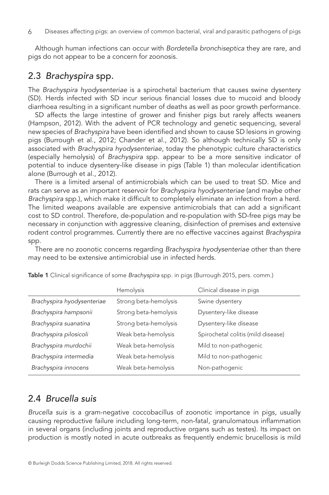Although human infections can occur with *Bordetella bronchiseptica* they are rare, and pigs do not appear to be a concern for zoonosis.

### 2.3 *Brachyspira* spp.

The *Brachyspira hyodysenteriae* is a spirochetal bacterium that causes swine dysentery (SD). Herds infected with SD incur serious financial losses due to mucoid and bloody diarrhoea resulting in a significant number of deaths as well as poor growth performance.

SD affects the large intestine of grower and finisher pigs but rarely affects weaners (Hampson, 2012). With the advent of PCR technology and genetic sequencing, several new species of *Brachyspira* have been identified and shown to cause SD lesions in growing pigs (Burrough et al., 2012; Chander et al., 2012). So although technically SD is only associated with *Brachyspira hyodysenteriae*, today the phenotypic culture characteristics (especially hemolysis) of *Brachyspira* spp*.* appear to be a more sensitive indicator of potential to induce dysentery-like disease in pigs (Table 1) than molecular identification alone (Burrough et al., 2012).

There is a limited arsenal of antimicrobials which can be used to treat SD. Mice and rats can serve as an important reservoir for *Brachyspira hyodysenteriae* (and maybe other *Brachyspira* spp.), which make it difficult to completely eliminate an infection from a herd. The limited weapons available are expensive antimicrobials that can add a significant cost to SD control. Therefore, de-population and re-population with SD-free pigs may be necessary in conjunction with aggressive cleaning, disinfection of premises and extensive rodent control programmes. Currently there are no effective vaccines against *Brachyspira* spp.

There are no zoonotic concerns regarding *Brachyspira hyodysenteriae* other than there may need to be extensive antimicrobial use in infected herds.

|                            | Hemolysis             | Clinical disease in pigs           |
|----------------------------|-----------------------|------------------------------------|
| Brachyspira hyodysenteriae | Strong beta-hemolysis | Swine dysentery                    |
| Brachyspira hampsonii      | Strong beta-hemolysis | Dysentery-like disease             |
| Brachyspira suanatina      | Strong beta-hemolysis | Dysentery-like disease             |
| Brachyspira pilosicoli     | Weak beta-hemolysis   | Spirochetal colitis (mild disease) |
| Brachyspira murdochii      | Weak beta-hemolysis   | Mild to non-pathogenic             |
| Brachyspira intermedia     | Weak beta-hemolysis   | Mild to non-pathogenic             |
| Brachyspira innocens       | Weak beta-hemolysis   | Non-pathogenic                     |

Table 1 Clinical significance of some *Brachyspira* spp. in pigs (Burrough 2015, pers. comm.)

## 2.4 *Brucella suis*

*Brucella suis* is a gram-negative coccobacillus of zoonotic importance in pigs, usually causing reproductive failure including long-term, non-fatal, granulomatous inflammation in several organs (including joints and reproductive organs such as testes). Its impact on production is mostly noted in acute outbreaks as frequently endemic brucellosis is mild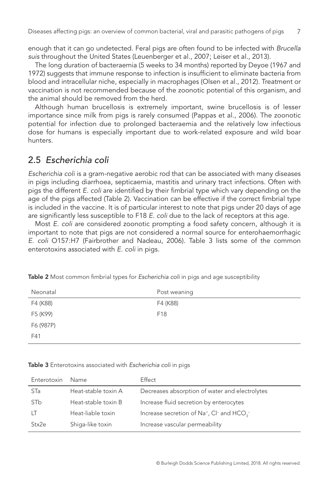enough that it can go undetected. Feral pigs are often found to be infected with *Brucella suis* throughout the United States (Leuenberger et al., 2007; Leiser et al., 2013).

The long duration of bacteraemia (5 weeks to 34 months) reported by Deyoe (1967 and 1972) suggests that immune response to infection is insufficient to eliminate bacteria from blood and intracellular niche, especially in macrophages (Olsen et al., 2012). Treatment or vaccination is not recommended because of the zoonotic potential of this organism, and the animal should be removed from the herd.

Although human brucellosis is extremely important, swine brucellosis is of lesser importance since milk from pigs is rarely consumed (Pappas et al., 2006). The zoonotic potential for infection due to prolonged bacteraemia and the relatively low infectious dose for humans is especially important due to work-related exposure and wild boar hunters.

#### 2.5 *Escherichia coli*

*Escherichia coli* is a gram-negative aerobic rod that can be associated with many diseases in pigs including diarrhoea, septicaemia, mastitis and urinary tract infections. Often with pigs the different *E. coli* are identified by their fimbrial type which vary depending on the age of the pigs affected (Table 2). Vaccination can be effective if the correct fimbrial type is included in the vaccine. It is of particular interest to note that pigs under 20 days of age are significantly less susceptible to F18 *E. coli* due to the lack of receptors at this age.

Most *E. coli* are considered zoonotic prompting a food safety concern, although it is important to note that pigs are not considered a normal source for enterohaemorrhagic *E. coli* O157:H7 (Fairbrother and Nadeau, 2006). Table 3 lists some of the common enterotoxins associated with *E. coli* in pigs.

| Neonatal  | Post weaning    |
|-----------|-----------------|
| F4 (K88)  | F4 (K88)        |
| F5 (K99)  | F <sub>18</sub> |
| F6 (987P) |                 |
| F41       |                 |

Table 2 Most common fimbrial types for *Escherichia coli* in pigs and age susceptibility

Table 3 Enterotoxins associated with *Escherichia coli* in pigs

| Enterotoxin | Name                | <b>Effect</b>                                                                             |
|-------------|---------------------|-------------------------------------------------------------------------------------------|
| <b>STa</b>  | Heat-stable toxin A | Decreases absorption of water and electrolytes                                            |
| STb         | Heat-stable toxin B | Increase fluid secretion by enterocytes                                                   |
| TТ          | Heat-liable toxin   | Increase secretion of Na <sup>+</sup> , Cl <sup>-</sup> and HCO <sub>2</sub> <sup>-</sup> |
| Stx2e       | Shiga-like toxin    | Increase vascular permeability                                                            |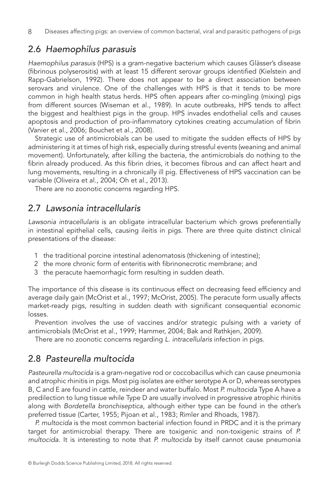## 2.6 *Haemophilus parasuis*

*Haemophilus parasuis* (HPS) is a gram-negative bacterium which causes Glässer's disease (fibrinous polyserositis) with at least 15 different serovar groups identified (Kielstein and Rapp-Gabrielson, 1992). There does not appear to be a direct association between serovars and virulence. One of the challenges with HPS is that it tends to be more common in high health status herds. HPS often appears after co-mingling (mixing) pigs from different sources (Wiseman et al., 1989). In acute outbreaks, HPS tends to affect the biggest and healthiest pigs in the group. HPS invades endothelial cells and causes apoptosis and production of pro-inflammatory cytokines creating accumulation of fibrin (Vanier et al., 2006; Bouchet et al., 2008).

Strategic use of antimicrobials can be used to mitigate the sudden effects of HPS by administering it at times of high risk, especially during stressful events (weaning and animal movement). Unfortunately, after killing the bacteria, the antimicrobials do nothing to the fibrin already produced. As this fibrin dries, it becomes fibrous and can affect heart and lung movements, resulting in a chronically ill pig. Effectiveness of HPS vaccination can be variable (Oliveira et al., 2004; Oh et al., 2013).

There are no zoonotic concerns regarding HPS.

## 2.7 *Lawsonia intracellularis*

*Lawsonia intracellularis* is an obligate intracellular bacterium which grows preferentially in intestinal epithelial cells, causing ileitis in pigs. There are three quite distinct clinical presentations of the disease:

- 1 the traditional porcine intestinal adenomatosis (thickening of intestine);
- 2 the more chronic form of enteritis with fibrinonecrotic membrane; and
- 3 the peracute haemorrhagic form resulting in sudden death.

The importance of this disease is its continuous effect on decreasing feed efficiency and average daily gain (McOrist et al., 1997; McOrist, 2005). The peracute form usually affects market-ready pigs, resulting in sudden death with significant consequential economic losses.

Prevention involves the use of vaccines and/or strategic pulsing with a variety of antimicrobials (McOrist et al., 1999; Hammer, 2004; Bak and Rathkjen, 2009).

There are no zoonotic concerns regarding *L. intracellularis* infection in pigs.

## 2.8 *Pasteurella multocida*

*Pasteurella multocida* is a gram-negative rod or coccobacillus which can cause pneumonia and atrophic rhinitis in pigs. Most pig isolates are either serotype A or D, whereas serotypes B, C and E are found in cattle, reindeer and water buffalo. Most *P. multocida* Type A have a predilection to lung tissue while Type D are usually involved in progressive atrophic rhinitis along with *Bordetella bronchiseptica*, although either type can be found in the other's preferred tissue (Carter, 1955; Pijoan et al., 1983; Rimler and Rhoads, 1987).

*P. multocida* is the most common bacterial infection found in PRDC and it is the primary target for antimicrobial therapy. There are toxigenic and non-toxigenic strains of *P. multocida*. It is interesting to note that *P. multocida* by itself cannot cause pneumonia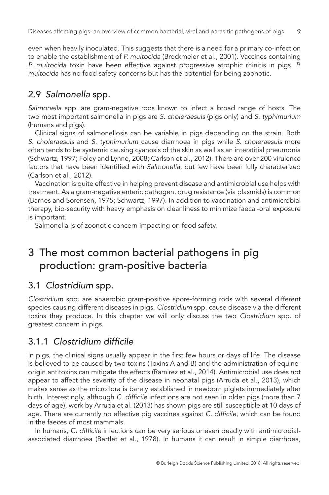even when heavily inoculated. This suggests that there is a need for a primary co-infection to enable the establishment of *P. multocida* (Brockmeier et al., 2001). Vaccines containing *P. multocida* toxin have been effective against progressive atrophic rhinitis in pigs. *P. multocida* has no food safety concerns but has the potential for being zoonotic.

## 2.9 *Salmonella* spp.

*Salmonella* spp. are gram-negative rods known to infect a broad range of hosts. The two most important salmonella in pigs are *S. choleraesuis* (pigs only) and *S. typhimurium* (humans and pigs).

Clinical signs of salmonellosis can be variable in pigs depending on the strain. Both *S. choleraesuis* and *S. typhimurium* cause diarrhoea in pigs while *S. choleraesuis* more often tends to be systemic causing cyanosis of the skin as well as an interstitial pneumonia (Schwartz, 1997; Foley and Lynne, 2008; Carlson et al., 2012). There are over 200 virulence factors that have been identified with *Salmonella*, but few have been fully characterized (Carlson et al., 2012).

Vaccination is quite effective in helping prevent disease and antimicrobial use helps with treatment. As a gram-negative enteric pathogen, drug resistance (via plasmids) is common (Barnes and Sorensen, 1975; Schwartz, 1997). In addition to vaccination and antimicrobial therapy, bio-security with heavy emphasis on cleanliness to minimize faecal-oral exposure is important.

Salmonella is of zoonotic concern impacting on food safety.

## 3 The most common bacterial pathogens in pig production: gram-positive bacteria

## 3.1 *Clostridium* spp.

*Clostridium* spp. are anaerobic gram-positive spore-forming rods with several different species causing different diseases in pigs. *Clostridium* spp. cause disease via the different toxins they produce. In this chapter we will only discuss the two *Clostridium* spp*.* of greatest concern in pigs.

## 3.1.1 *Clostridium difficile*

In pigs, the clinical signs usually appear in the first few hours or days of life. The disease is believed to be caused by two toxins (Toxins A and B) and the administration of equineorigin antitoxins can mitigate the effects (Ramirez et al., 2014). Antimicrobial use does not appear to affect the severity of the disease in neonatal pigs (Arruda et al., 2013), which makes sense as the microflora is barely established in newborn piglets immediately after birth. Interestingly, although *C. difficile* infections are not seen in older pigs (more than 7 days of age), work by Arruda et al. (2013) has shown pigs are still susceptible at 10 days of age. There are currently no effective pig vaccines against *C. difficile*, which can be found in the faeces of most mammals.

In humans, *C. difficile* infections can be very serious or even deadly with antimicrobialassociated diarrhoea (Bartlet et al., 1978). In humans it can result in simple diarrhoea,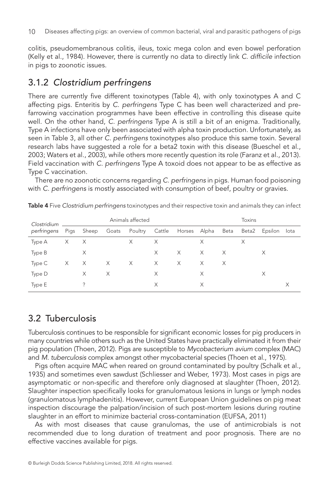colitis, pseudomembranous colitis, ileus, toxic mega colon and even bowel perforation (Kelly et al., 1984). However, there is currently no data to directly link *C. difficile* infection in pigs to zoonotic issues.

## 3.1.2 *Clostridium perfringens*

There are currently five different toxinotypes (Table 4), with only toxinotypes A and C affecting pigs. Enteritis by *C. perfringens* Type C has been well characterized and prefarrowing vaccination programmes have been effective in controlling this disease quite well. On the other hand, *C. perfringens* Type A is still a bit of an enigma. Traditionally, Type A infections have only been associated with alpha toxin production. Unfortunately, as seen in Table 3, all other *C. perfringens* toxinotypes also produce this same toxin. Several research labs have suggested a role for a beta2 toxin with this disease (Bueschel et al., 2003; Waters et al., 2003), while others more recently question its role (Faranz et al., 2013). Field vaccination with *C. perfringens* Type A toxoid does not appear to be as effective as Type C vaccination.

There are no zoonotic concerns regarding *C. perfringens* in pigs. Human food poisoning with *C. perfringens* is mostly associated with consumption of beef, poultry or gravies.

| Clostridium<br>perfringens | Animals affected |          |   |                                                   |   | <b>Toxins</b> |          |          |   |                    |   |
|----------------------------|------------------|----------|---|---------------------------------------------------|---|---------------|----------|----------|---|--------------------|---|
|                            |                  |          |   | Pigs Sheep Goats Poultry Cattle Horses Alpha Beta |   |               |          |          |   | Beta2 Epsilon lota |   |
| Type A                     | $\times$         | X        |   | X                                                 | X |               | X        |          | X |                    |   |
| Type B                     |                  | X        |   |                                                   | X | X             | $\times$ | $\times$ |   | X                  |   |
| Type C                     | $\times$         | $\times$ | X | $\mathsf{X}$                                      | X | $\times$      | $\times$ | X        |   |                    |   |
| Type D                     |                  | X        | X |                                                   | X |               | X        |          |   | X                  |   |
| Type E                     |                  | ?        |   |                                                   | Χ |               | X        |          |   |                    | X |

Table 4 Five *Clostridium perfringens* toxinotypes and their respective toxin and animals they can infect

## 3.2 Tuberculosis

Tuberculosis continues to be responsible for significant economic losses for pig producers in many countries while others such as the United States have practically eliminated it from their pig population (Thoen, 2012). Pigs are susceptible to *Mycobacterium avium* complex (MAC) and *M. tuberculosis* complex amongst other mycobacterial species (Thoen et al., 1975).

Pigs often acquire MAC when reared on ground contaminated by poultry (Schalk et al., 1935) and sometimes even sawdust (Schliesser and Weber, 1973). Most cases in pigs are asymptomatic or non-specific and therefore only diagnosed at slaughter (Thoen, 2012). Slaughter inspection specifically looks for granulomatous lesions in lungs or lymph nodes (granulomatous lymphadenitis). However, current European Union guidelines on pig meat inspection discourage the palpation/incision of such post-mortem lesions during routine slaughter in an effort to minimize bacterial cross-contamination (EUFSA, 2011)

As with most diseases that cause granulomas, the use of antimicrobials is not recommended due to long duration of treatment and poor prognosis. There are no effective vaccines available for pigs.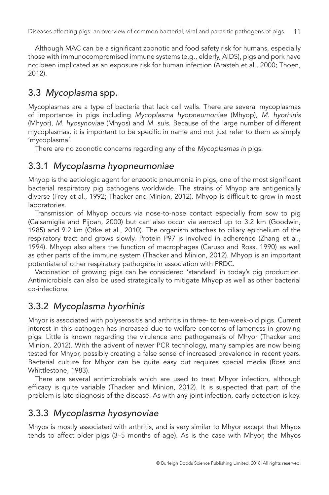Although MAC can be a significant zoonotic and food safety risk for humans, especially those with immunocompromised immune systems (e.g., elderly, AIDS), pigs and pork have not been implicated as an exposure risk for human infection (Arasteh et al., 2000; Thoen, 2012).

## 3.3 *Mycoplasma* spp.

Mycoplasmas are a type of bacteria that lack cell walls. There are several mycoplasmas of importance in pigs including *Mycoplasma hyopneumoniae* (Mhyop), *M. hyorhinis* (Mhyor), *M. hyosynoviae* (Mhyos) and *M. suis*. Because of the large number of different mycoplasmas, it is important to be specific in name and not just refer to them as simply 'mycoplasma'.

There are no zoonotic concerns regarding any of the *Mycoplasmas i*n pigs.

#### 3.3.1 *Mycoplasma hyopneumoniae*

Mhyop is the aetiologic agent for enzootic pneumonia in pigs, one of the most significant bacterial respiratory pig pathogens worldwide. The strains of Mhyop are antigenically diverse (Frey et al., 1992; Thacker and Minion, 2012). Mhyop is difficult to grow in most laboratories.

Transmission of Mhyop occurs via nose-to-nose contact especially from sow to pig (Calsamiglia and Pijoan, 2000) but can also occur via aerosol up to 3.2 km (Goodwin, 1985) and 9.2 km (Otke et al., 2010). The organism attaches to ciliary epithelium of the respiratory tract and grows slowly. Protein P97 is involved in adherence (Zhang et al., 1994). Mhyop also alters the function of macrophages (Caruso and Ross, 1990) as well as other parts of the immune system (Thacker and Minion, 2012). Mhyop is an important potentiate of other respiratory pathogens in association with PRDC.

Vaccination of growing pigs can be considered 'standard' in today's pig production. Antimicrobials can also be used strategically to mitigate Mhyop as well as other bacterial co-infections.

## 3.3.2 *Mycoplasma hyorhinis*

Mhyor is associated with polyserositis and arthritis in three- to ten-week-old pigs. Current interest in this pathogen has increased due to welfare concerns of lameness in growing pigs. Little is known regarding the virulence and pathogenesis of Mhyor (Thacker and Minion, 2012). With the advent of newer PCR technology, many samples are now being tested for Mhyor, possibly creating a false sense of increased prevalence in recent years. Bacterial culture for Mhyor can be quite easy but requires special media (Ross and Whittlestone, 1983).

There are several antimicrobials which are used to treat Mhyor infection, although efficacy is quite variable (Thacker and Minion, 2012). It is suspected that part of the problem is late diagnosis of the disease. As with any joint infection, early detection is key.

## 3.3.3 *Mycoplasma hyosynoviae*

Mhyos is mostly associated with arthritis, and is very similar to Mhyor except that Mhyos tends to affect older pigs (3–5 months of age). As is the case with Mhyor, the Mhyos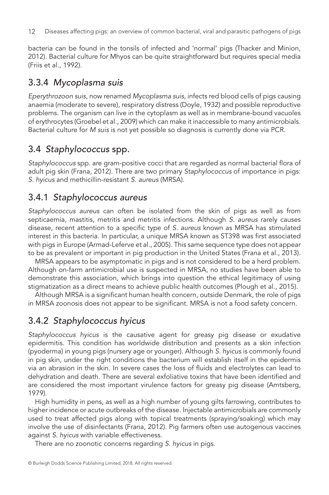bacteria can be found in the tonsils of infected and 'normal' pigs (Thacker and Minion, 2012). Bacterial culture for Mhyos can be quite straightforward but requires special media (Friis et al., 1992).

## 3.3.4 *Mycoplasma suis*

*Eperythrozoon suis*, now renamed *Mycoplasma suis*, infects red blood cells of pigs causing anaemia (moderate to severe), respiratory distress (Doyle, 1932) and possible reproductive problems. The organism can live in the cytoplasm as well as in membrane-bound vacuoles of erythrocytes (Groebel et al., 2009) which can make it inaccessible to many antimicrobials. Bacterial culture for *M suis* is not yet possible so diagnosis is currently done via PCR.

## 3.4 *Staphylococcus* spp.

*Staphylococcus* spp. are gram-positive cocci that are regarded as normal bacterial flora of adult pig skin (Frana, 2012). There are two primary *Staphylococcus* of importance in pigs: *S. hyicus* and methicillin-resistant *S. aureus* (MRSA).

#### 3.4.1 *Staphylococcus aureus*

*Staphylococcus aureus* can often be isolated from the skin of pigs as well as from septicaemia, mastitis, metritis and metritis infections. Although *S. aureus* rarely causes disease, recent attention to a specific type of *S. aureus* known as MRSA has stimulated interest in this bacteria. In particular, a unique MRSA known as ST398 was first associated with pigs in Europe (Armad-Leferve et al., 2005). This same sequence type does not appear to be as prevalent or important in pig production in the United States (Frana et al., 2013).

MRSA appears to be asymptomatic in pigs and is not considered to be a herd problem. Although on-farm antimicrobial use is suspected in MRSA, no studies have been able to demonstrate this association, which brings into question the ethical legitimacy of using stigmatization as a direct means to achieve public health outcomes (Plough et al., 2015).

Although MRSA is a significant human health concern, outside Denmark, the role of pigs in MRSA zoonosis does not appear to be significant. MRSA is not a food safety concern.

## 3.4.2 *Staphylococcus hyicus*

*Staphylococcus hyicus* is the causative agent for greasy pig disease or exudative epidermitis. This condition has worldwide distribution and presents as a skin infection (pyoderma) in young pigs (nursery age or younger). Although *S. hyicus* is commonly found in pig skin, under the right conditions the bacterium will establish itself in the epidermis via an abrasion in the skin. In severe cases the loss of fluids and electrolytes can lead to dehydration and death. There are several exfoliative toxins that have been identified and are considered the most important virulence factors for greasy pig disease (Amtsberg, 1979).

High humidity in pens, as well as a high number of young gilts farrowing, contributes to higher incidence or acute outbreaks of the disease. Injectable antimicrobials are commonly used to treat affected pigs along with topical treatments (spraying/soaking) which may involve the use of disinfectants (Frana, 2012). Pig farmers often use autogenous vaccines against *S. hyicus* with variable effectiveness.

There are no zoonotic concerns regarding *S. hyicus* in pigs.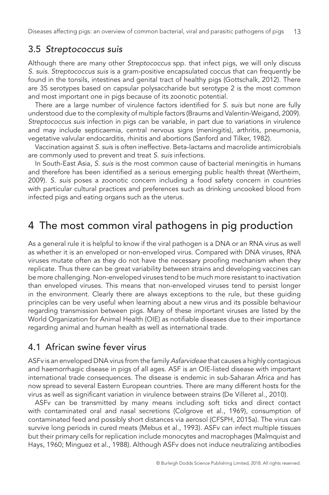#### 3.5 *Streptococcus suis*

Although there are many other *Streptococcus* spp. that infect pigs, we will only discuss *S. suis*. *Streptococcus suis* is a gram-positive encapsulated coccus that can frequently be found in the tonsils, intestines and genital tract of healthy pigs (Gottschalk, 2012). There are 35 serotypes based on capsular polysaccharide but serotype 2 is the most common and most important one in pigs because of its zoonotic potential.

There are a large number of virulence factors identified for *S. suis* but none are fully understood due to the complexity of multiple factors (Braums and Valentin-Weigand, 2009). *Streptococcus suis* infection in pigs can be variable, in part due to variations in virulence and may include septicaemia, central nervous signs (meningitis), arthritis, pneumonia, vegetative valvular endocarditis, rhinitis and abortions (Sanford and Tilker, 1982).

Vaccination against *S. sui*s is often ineffective. Beta-lactams and macrolide antimicrobials are commonly used to prevent and treat *S. suis* infections.

In South-East Asia, *S. suis* is the most common cause of bacterial meningitis in humans and therefore has been identified as a serious emerging public health threat (Wertheim, 2009). *S. suis* poses a zoonotic concern including a food safety concern in countries with particular cultural practices and preferences such as drinking uncooked blood from infected pigs and eating organs such as the uterus.

## 4 The most common viral pathogens in pig production

As a general rule it is helpful to know if the viral pathogen is a DNA or an RNA virus as well as whether it is an enveloped or non-enveloped virus. Compared with DNA viruses, RNA viruses mutate often as they do not have the necessary proofing mechanism when they replicate. Thus there can be great variability between strains and developing vaccines can be more challenging. Non-enveloped viruses tend to be much more resistant to inactivation than enveloped viruses. This means that non-enveloped viruses tend to persist longer in the environment. Clearly there are always exceptions to the rule, but these guiding principles can be very useful when learning about a new virus and its possible behaviour regarding transmission between pigs. Many of these important viruses are listed by the World Organization for Animal Health (OIE) as notifiable diseases due to their importance regarding animal and human health as well as international trade.

## 4.1 African swine fever virus

ASFv is an enveloped DNA virus from the family *Asfarvideae* that causes a highly contagious and haemorrhagic disease in pigs of all ages. ASF is an OIE-listed disease with important international trade consequences. The disease is endemic in sub-Saharan Africa and has now spread to several Eastern European countries. There are many different hosts for the virus as well as significant variation in virulence between strains (De Villeret al., 2010).

ASFv can be transmitted by many means including soft ticks and direct contact with contaminated oral and nasal secretions (Colgrove et al., 1969), consumption of contaminated feed and possibly short distances via aerosol (CFSPH, 2015a). The virus can survive long periods in cured meats (Mebus et al., 1993). ASFv can infect multiple tissues but their primary cells for replication include monocytes and macrophages (Malmquist and Hays, 1960; Minguez et al., 1988). Although ASFv does not induce neutralizing antibodies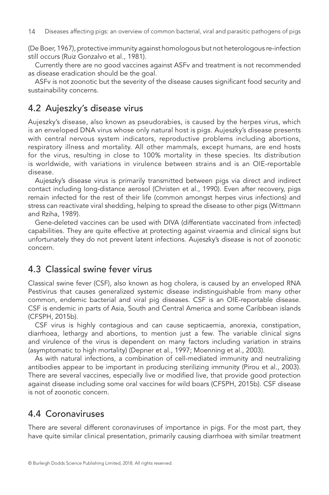(De Boer, 1967), protective immunity against homologous but not heterologous re-infection still occurs (Ruiz Gonzalvo et al., 1981).

Currently there are no good vaccines against ASFv and treatment is not recommended as disease eradication should be the goal.

ASFv is not zoonotic but the severity of the disease causes significant food security and sustainability concerns.

## 4.2 Aujeszky's disease virus

Aujeszky's disease, also known as pseudorabies, is caused by the herpes virus, which is an enveloped DNA virus whose only natural host is pigs. Aujeszky's disease presents with central nervous system indicators, reproductive problems including abortions, respiratory illness and mortality. All other mammals, except humans, are end hosts for the virus, resulting in close to 100% mortality in these species. Its distribution is worldwide, with variations in virulence between strains and is an OIE-reportable disease.

Aujeszky's disease virus is primarily transmitted between pigs via direct and indirect contact including long-distance aerosol (Christen et al., 1990). Even after recovery, pigs remain infected for the rest of their life (common amongst herpes virus infections) and stress can reactivate viral shedding, helping to spread the disease to other pigs (Wittmann and Rziha, 1989).

Gene-deleted vaccines can be used with DIVA (differentiate vaccinated from infected) capabilities. They are quite effective at protecting against viraemia and clinical signs but unfortunately they do not prevent latent infections. Aujeszky's disease is not of zoonotic concern.

#### 4.3 Classical swine fever virus

Classical swine fever (CSF), also known as hog cholera, is caused by an enveloped RNA Pestivirus that causes generalized systemic disease indistinguishable from many other common, endemic bacterial and viral pig diseases. CSF is an OIE-reportable disease. CSF is endemic in parts of Asia, South and Central America and some Caribbean islands (CFSPH, 2015b).

CSF virus is highly contagious and can cause septicaemia, anorexia, constipation, diarrhoea, lethargy and abortions, to mention just a few. The variable clinical signs and virulence of the virus is dependent on many factors including variation in strains (asymptomatic to high mortality) (Depner et al., 1997; Moenning et al., 2003).

As with natural infections, a combination of cell-mediated immunity and neutralizing antibodies appear to be important in producing sterilizing immunity (Pirou et al., 2003). There are several vaccines, especially live or modified live, that provide good protection against disease including some oral vaccines for wild boars (CFSPH, 2015b). CSF disease is not of zoonotic concern.

#### 4.4 Coronaviruses

There are several different coronaviruses of importance in pigs. For the most part, they have quite similar clinical presentation, primarily causing diarrhoea with similar treatment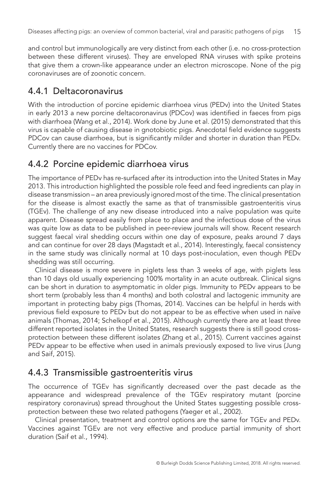and control but immunologically are very distinct from each other (i.e. no cross-protection between these different viruses). They are enveloped RNA viruses with spike proteins that give them a crown-like appearance under an electron microscope. None of the pig coronaviruses are of zoonotic concern.

## 4.4.1 Deltacoronavirus

With the introduction of porcine epidemic diarrhoea virus (PEDv) into the United States in early 2013 a new porcine deltacoronavirus (PDCov) was identified in faeces from pigs with diarrhoea (Wang et al., 2014). Work done by June et al. (2015) demonstrated that this virus is capable of causing disease in gnotobiotic pigs. Anecdotal field evidence suggests PDCov can cause diarrhoea, but is significantly milder and shorter in duration than PEDv. Currently there are no vaccines for PDCov.

## 4.4.2 Porcine epidemic diarrhoea virus

The importance of PEDv has re-surfaced after its introduction into the United States in May 2013. This introduction highlighted the possible role feed and feed ingredients can play in disease transmission – an area previously ignored most of the time. The clinical presentation for the disease is almost exactly the same as that of transmissible gastroenteritis virus (TGEv). The challenge of any new disease introduced into a naïve population was quite apparent. Disease spread easily from place to place and the infectious dose of the virus was quite low as data to be published in peer-review journals will show. Recent research suggest faecal viral shedding occurs within one day of exposure, peaks around 7 days and can continue for over 28 days (Magstadt et al., 2014). Interestingly, faecal consistency in the same study was clinically normal at 10 days post-inoculation, even though PEDv shedding was still occurring.

Clinical disease is more severe in piglets less than 3 weeks of age, with piglets less than 10 days old usually experiencing 100% mortality in an acute outbreak. Clinical signs can be short in duration to asymptomatic in older pigs. Immunity to PEDv appears to be short term (probably less than 4 months) and both colostral and lactogenic immunity are important in protecting baby pigs (Thomas, 2014). Vaccines can be helpful in herds with previous field exposure to PEDv but do not appear to be as effective when used in naïve animals (Thomas, 2014; Schelkopf et al., 2015). Although currently there are at least three different reported isolates in the United States, research suggests there is still good crossprotection between these different isolates (Zhang et al., 2015). Current vaccines against PEDv appear to be effective when used in animals previously exposed to live virus (Jung and Saif, 2015).

## 4.4.3 Transmissible gastroenteritis virus

The occurrence of TGEv has significantly decreased over the past decade as the appearance and widespread prevalence of the TGEv respiratory mutant (porcine respiratory coronavirus) spread throughout the United States suggesting possible crossprotection between these two related pathogens (Yaeger et al., 2002).

Clinical presentation, treatment and control options are the same for TGEv and PEDv. Vaccines against TGEv are not very effective and produce partial immunity of short duration (Saif et al., 1994).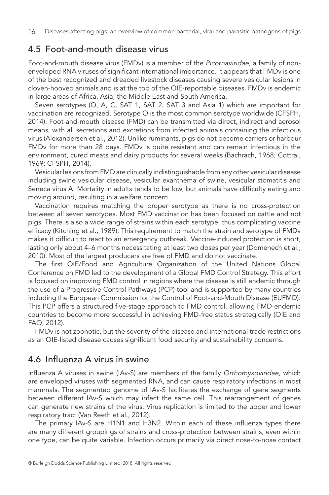#### 4.5 Foot-and-mouth disease virus

Foot-and-mouth disease virus (FMDv) is a member of the *Picornaviridae*, a family of nonenveloped RNA viruses of significant international importance. It appears that FMDv is one of the best recognized and dreaded livestock diseases causing severe vesicular lesions in cloven-hooved animals and is at the top of the OIE-reportable diseases. FMDv is endemic in large areas of Africa, Asia, the Middle East and South America.

Seven serotypes (O, A, C, SAT 1, SAT 2, SAT 3 and Asia 1) which are important for vaccination are recognized. Serotype O is the most common serotype worldwide (CFSPH, 2014). Foot-and-mouth disease (FMD) can be transmitted via direct, indirect and aerosol means, with all secretions and excretions from infected animals containing the infectious virus (Alexandersen et al., 2012). Unlike ruminants, pigs do not become carriers or harbour FMDv for more than 28 days. FMDv is quite resistant and can remain infectious in the environment, cured meats and dairy products for several weeks (Bachrach, 1968; Cottral, 1969; CFSPH, 2014).

Vesicular lesions from FMD are clinically indistinguishable from any other vesicular disease including swine vesicular disease, vesicular exanthema of swine, vesicular stomatitis and Seneca virus A. Mortality in adults tends to be low, but animals have difficulty eating and moving around, resulting in a welfare concern.

Vaccination requires matching the proper serotype as there is no cross-protection between all seven serotypes. Most FMD vaccination has been focused on cattle and not pigs. There is also a wide range of strains within each serotype, thus complicating vaccine efficacy (Kitching et al., 1989). This requirement to match the strain and serotype of FMDv makes it difficult to react to an emergency outbreak. Vaccine-induced protection is short, lasting only about 4–6 months necessitating at least two doses per year (Domenech et al., 2010). Most of the largest producers are free of FMD and do not vaccinate.

The first OIE/Food and Agriculture Organization of the United Nations Global Conference on FMD led to the development of a Global FMD Control Strategy. This effort is focused on improving FMD control in regions where the disease is still endemic through the use of a Progressive Control Pathways (PCP) tool and is supported by many countries including the European Commission for the Control of Foot-and-Mouth Disease (EUFMD). This PCP offers a structured five-stage approach to FMD control, allowing FMD-endemic countries to become more successful in achieving FMD-free status strategically (OIE and FAO, 2012).

FMDv is not zoonotic, but the severity of the disease and international trade restrictions as an OIE-listed disease causes significant food security and sustainability concerns.

## 4.6 Influenza A virus in swine

Influenza A viruses in swine (IAv-S) are members of the family *Orthomyxoviridae*, which are enveloped viruses with segmented RNA, and can cause respiratory infections in most mammals. The segmented genome of IAv-S facilitates the exchange of gene segments between different IAv-S which may infect the same cell. This rearrangement of genes can generate new strains of the virus. Virus replication is limited to the upper and lower respiratory tract (Van Reeth et al., 2012).

The primary IAv-S are H1N1 and H3N2. Within each of these influenza types there are many different groupings of strains and cross-protection between strains, even within one type, can be quite variable. Infection occurs primarily via direct nose-to-nose contact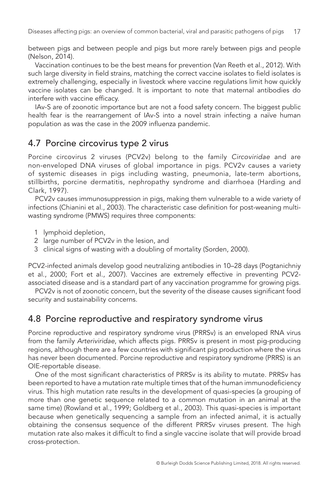between pigs and between people and pigs but more rarely between pigs and people (Nelson, 2014).

Vaccination continues to be the best means for prevention (Van Reeth et al., 2012). With such large diversity in field strains, matching the correct vaccine isolates to field isolates is extremely challenging, especially in livestock where vaccine regulations limit how quickly vaccine isolates can be changed. It is important to note that maternal antibodies do interfere with vaccine efficacy.

IAv-S are of zoonotic importance but are not a food safety concern. The biggest public health fear is the rearrangement of IAv-S into a novel strain infecting a naïve human population as was the case in the 2009 influenza pandemic.

#### 4.7 Porcine circovirus type 2 virus

Porcine circovirus 2 viruses (PCV2v) belong to the family *Circoviridae* and are non-enveloped DNA viruses of global importance in pigs. PCV2v causes a variety of systemic diseases in pigs including wasting, pneumonia, late-term abortions, stillbirths, porcine dermatitis, nephropathy syndrome and diarrhoea (Harding and Clark, 1997).

PCV2v causes immunosuppression in pigs, making them vulnerable to a wide variety of infections (Chianini et al., 2003). The characteristic case definition for post-weaning multiwasting syndrome (PMWS) requires three components:

- 1 lymphoid depletion,
- 2 large number of PCV2v in the lesion, and
- 3 clinical signs of wasting with a doubling of mortality (Sorden, 2000).

PCV2-infected animals develop good neutralizing antibodies in 10–28 days (Pogtanichniy et al., 2000; Fort et al., 2007). Vaccines are extremely effective in preventing PCV2 associated disease and is a standard part of any vaccination programme for growing pigs.

PCV2v is not of zoonotic concern, but the severity of the disease causes significant food security and sustainability concerns.

#### 4.8 Porcine reproductive and respiratory syndrome virus

Porcine reproductive and respiratory syndrome virus (PRRSv) is an enveloped RNA virus from the family *Arteriviridae*, which affects pigs. PRRSv is present in most pig-producing regions, although there are a few countries with significant pig production where the virus has never been documented. Porcine reproductive and respiratory syndrome (PRRS) is an OIE-reportable disease.

One of the most significant characteristics of PRRSv is its ability to mutate. PRRSv has been reported to have a mutation rate multiple times that of the human immunodeficiency virus. This high mutation rate results in the development of quasi-species (a grouping of more than one genetic sequence related to a common mutation in an animal at the same time) (Rowland et al., 1999; Goldberg et al., 2003). This quasi-species is important because when genetically sequencing a sample from an infected animal, it is actually obtaining the consensus sequence of the different PRRSv viruses present. The high mutation rate also makes it difficult to find a single vaccine isolate that will provide broad cross-protection.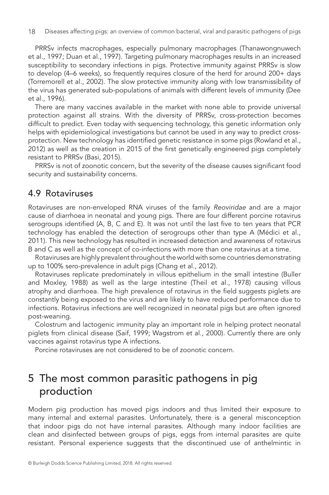PRRSv infects macrophages, especially pulmonary macrophages (Thanawongnuwech et al., 1997; Duan et al., 1997). Targeting pulmonary macrophages results in an increased susceptibility to secondary infections in pigs. Protective immunity against PRRSv is slow to develop (4–6 weeks), so frequently requires closure of the herd for around 200+ days (Torremorell et al., 2002). The slow protective immunity along with low transmissibility of the virus has generated sub-populations of animals with different levels of immunity (Dee et al., 1996).

There are many vaccines available in the market with none able to provide universal protection against all strains. With the diversity of PRRSv, cross-protection becomes difficult to predict. Even today with sequencing technology, this genetic information only helps with epidemiological investigations but cannot be used in any way to predict crossprotection. New technology has identified genetic resistance in some pigs (Rowland et al., 2012) as well as the creation in 2015 of the first genetically engineered pigs completely resistant to PRRSv (Basi, 2015).

PRRSv is not of zoonotic concern, but the severity of the disease causes significant food security and sustainability concerns.

#### 4.9 Rotaviruses

Rotaviruses are non-enveloped RNA viruses of the family *Reoviridae* and are a major cause of diarrhoea in neonatal and young pigs. There are four different porcine rotavirus serogroups identified (A, B, C and E). It was not until the last five to ten years that PCR technology has enabled the detection of serogroups other than type A (Médici et al., 2011). This new technology has resulted in increased detection and awareness of rotavirus B and C as well as the concept of co-infections with more than one rotavirus at a time.

Rotaviruses are highly prevalent throughout the world with some countries demonstrating up to 100% sero-prevalence in adult pigs (Chang et al., 2012).

Rotaviruses replicate predominately in villous epithelium in the small intestine (Buller and Moxley, 1988) as well as the large intestine (Theil et al., 1978) causing villous atrophy and diarrhoea. The high prevalence of rotavirus in the field suggests piglets are constantly being exposed to the virus and are likely to have reduced performance due to infections. Rotavirus infections are well recognized in neonatal pigs but are often ignored post-weaning.

Colostrum and lactogenic immunity play an important role in helping protect neonatal piglets from clinical disease (Saif, 1999; Wagstrom et al., 2000). Currently there are only vaccines against rotavirus type A infections.

Porcine rotaviruses are not considered to be of zoonotic concern.

## 5 The most common parasitic pathogens in pig production

Modern pig production has moved pigs indoors and thus limited their exposure to many internal and external parasites. Unfortunately, there is a general misconception that indoor pigs do not have internal parasites. Although many indoor facilities are clean and disinfected between groups of pigs, eggs from internal parasites are quite resistant. Personal experience suggests that the discontinued use of anthelmintic in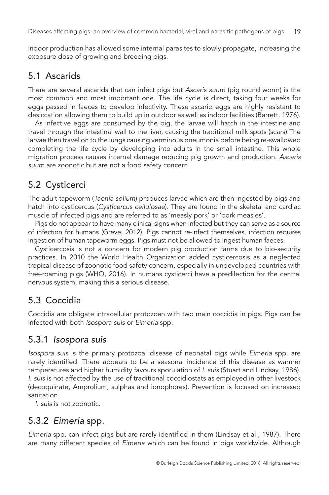indoor production has allowed some internal parasites to slowly propagate, increasing the exposure dose of growing and breeding pigs.

## 5.1 Ascarids

There are several ascarids that can infect pigs but *Ascaris suum* (pig round worm) is the most common and most important one. The life cycle is direct, taking four weeks for eggs passed in faeces to develop infectivity. These ascarid eggs are highly resistant to desiccation allowing them to build up in outdoor as well as indoor facilities (Barrett, 1976).

As infective eggs are consumed by the pig, the larvae will hatch in the intestine and travel through the intestinal wall to the liver, causing the traditional milk spots (scars) The larvae then travel on to the lungs causing verminous pneumonia before being re-swallowed completing the life cycle by developing into adults in the small intestine. This whole migration process causes internal damage reducing pig growth and production. *Ascaris suum* are zoonotic but are not a food safety concern.

## 5.2 Cysticerci

The adult tapeworm (*Taenia solium*) produces larvae which are then ingested by pigs and hatch into cysticercus (*Cysticercus cellulosae*). They are found in the skeletal and cardiac muscle of infected pigs and are referred to as 'measly pork' or 'pork measles'.

Pigs do not appear to have many clinical signs when infected but they can serve as a source of infection for humans (Greve, 2012). Pigs cannot re-infect themselves, infection requires ingestion of human tapeworm eggs. Pigs must not be allowed to ingest human faeces.

Cysticercosis is not a concern for modern pig production farms due to bio-security practices. In 2010 the World Health Organization added cysticercosis as a neglected tropical disease of zoonotic food safety concern, especially in undeveloped countries with free-roaming pigs (WHO, 2016). In humans cysticerci have a predilection for the central nervous system, making this a serious disease.

## 5.3 Coccidia

Coccidia are obligate intracellular protozoan with two main coccidia in pigs. Pigs can be infected with both *Isospora suis* or *Eimeria* spp*.*

#### 5.3.1 *Isospora suis*

*Isospora suis* is the primary protozoal disease of neonatal pigs while *Eimeria* spp. are rarely identified. There appears to be a seasonal incidence of this disease as warmer temperatures and higher humidity favours sporulation of *I. suis* (Stuart and Lindsay, 1986). *I. suis* is not affected by the use of traditional coccidiostats as employed in other livestock (decoquinate, Amprolium, sulphas and ionophores). Prevention is focused on increased sanitation.

*I. suis* is not zoonotic.

## 5.3.2 *Eimeria* spp.

*Eimeria* spp. can infect pigs but are rarely identified in them (Lindsay et al., 1987). There are many different species of *Eimeria* which can be found in pigs worldwide. Although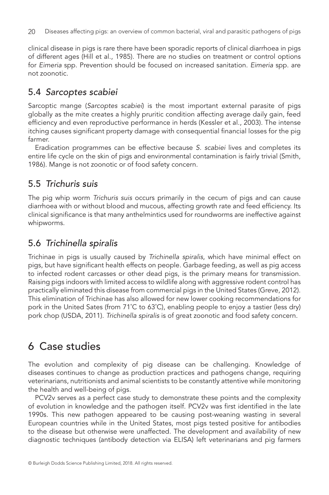clinical disease in pigs is rare there have been sporadic reports of clinical diarrhoea in pigs of different ages (Hill et al., 1985). There are no studies on treatment or control options for *Eimeria* spp. Prevention should be focused on increased sanitation. *Eimeria* spp. are not zoonotic.

### 5.4 *Sarcoptes scabiei*

Sarcoptic mange (*Sarcoptes scabiei*) is the most important external parasite of pigs globally as the mite creates a highly pruritic condition affecting average daily gain, feed efficiency and even reproductive performance in herds (Kessler et al., 2003). The intense itching causes significant property damage with consequential financial losses for the pig farmer.

Eradication programmes can be effective because *S. scabiei* lives and completes its entire life cycle on the skin of pigs and environmental contamination is fairly trivial (Smith, 1986). Mange is not zoonotic or of food safety concern.

#### 5.5 *Trichuris suis*

The pig whip worm *Trichuris suis* occurs primarily in the cecum of pigs and can cause diarrhoea with or without blood and mucous, affecting growth rate and feed efficiency. Its clinical significance is that many anthelmintics used for roundworms are ineffective against whipworms.

## 5.6 *Trichinella spiralis*

Trichinae in pigs is usually caused by *Trichinella spiralis*, which have minimal effect on pigs, but have significant health effects on people. Garbage feeding, as well as pig access to infected rodent carcasses or other dead pigs, is the primary means for transmission. Raising pigs indoors with limited access to wildlife along with aggressive rodent control has practically eliminated this disease from commercial pigs in the United States (Greve, 2012). This elimination of Trichinae has also allowed for new lower cooking recommendations for pork in the United Sates (from 71˚C to 63˚C), enabling people to enjoy a tastier (less dry) pork chop (USDA, 2011). *Trichinella spiralis* is of great zoonotic and food safety concern.

## 6 Case studies

The evolution and complexity of pig disease can be challenging. Knowledge of diseases continues to change as production practices and pathogens change, requiring veterinarians, nutritionists and animal scientists to be constantly attentive while monitoring the health and well-being of pigs.

PCV2v serves as a perfect case study to demonstrate these points and the complexity of evolution in knowledge and the pathogen itself. PCV2v was first identified in the late 1990s. This new pathogen appeared to be causing post-weaning wasting in several European countries while in the United States, most pigs tested positive for antibodies to the disease but otherwise were unaffected. The development and availability of new diagnostic techniques (antibody detection via ELISA) left veterinarians and pig farmers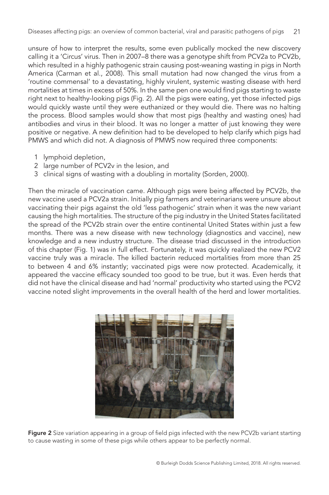unsure of how to interpret the results, some even publically mocked the new discovery calling it a 'Circus' virus. Then in 2007–8 there was a genotype shift from PCV2a to PCV2b, which resulted in a highly pathogenic strain causing post-weaning wasting in pigs in North America (Carman et al., 2008). This small mutation had now changed the virus from a 'routine commensal' to a devastating, highly virulent, systemic wasting disease with herd mortalities at times in excess of 50%. In the same pen one would find pigs starting to waste right next to healthy-looking pigs (Fig. 2). All the pigs were eating, yet those infected pigs would quickly waste until they were euthanized or they would die. There was no halting the process. Blood samples would show that most pigs (healthy and wasting ones) had antibodies and virus in their blood. It was no longer a matter of just knowing they were positive or negative. A new definition had to be developed to help clarify which pigs had PMWS and which did not. A diagnosis of PMWS now required three components:

- 1 lymphoid depletion,
- 2 large number of PCV2v in the lesion, and
- 3 clinical signs of wasting with a doubling in mortality (Sorden, 2000).

Then the miracle of vaccination came. Although pigs were being affected by PCV2b, the new vaccine used a PCV2a strain. Initially pig farmers and veterinarians were unsure about vaccinating their pigs against the old 'less pathogenic' strain when it was the new variant causing the high mortalities. The structure of the pig industry in the United States facilitated the spread of the PCV2b strain over the entire continental United States within just a few months. There was a new disease with new technology (diagnostics and vaccine), new knowledge and a new industry structure. The disease triad discussed in the introduction of this chapter (Fig. 1) was in full effect. Fortunately, it was quickly realized the new PCV2 vaccine truly was a miracle. The killed bacterin reduced mortalities from more than 25 to between 4 and 6% instantly; vaccinated pigs were now protected. Academically, it appeared the vaccine efficacy sounded too good to be true, but it was. Even herds that did not have the clinical disease and had 'normal' productivity who started using the PCV2 vaccine noted slight improvements in the overall health of the herd and lower mortalities.



Figure 2 Size variation appearing in a group of field pigs infected with the new PCV2b variant starting to cause wasting in some of these pigs while others appear to be perfectly normal.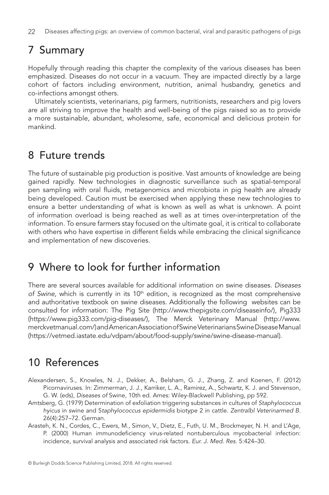## 7 Summary

Hopefully through reading this chapter the complexity of the various diseases has been emphasized. Diseases do not occur in a vacuum. They are impacted directly by a large cohort of factors including environment, nutrition, animal husbandry, genetics and co-infections amongst others.

Ultimately scientists, veterinarians, pig farmers, nutritionists, researchers and pig lovers are all striving to improve the health and well-being of the pigs raised so as to provide a more sustainable, abundant, wholesome, safe, economical and delicious protein for mankind.

## 8 Future trends

The future of sustainable pig production is positive. Vast amounts of knowledge are being gained rapidly. New technologies in diagnostic surveillance such as spatial-temporal pen sampling with oral fluids, metagenomics and microbiota in pig health are already being developed. Caution must be exercised when applying these new technologies to ensure a better understanding of what is known as well as what is unknown. A point of information overload is being reached as well as at times over-interpretation of the information. To ensure farmers stay focused on the ultimate goal, it is critical to collaborate with others who have expertise in different fields while embracing the clinical significance and implementation of new discoveries.

## 9 Where to look for further information

There are several sources available for additional information on swine diseases. *Diseases*  of Swine, which is currently in its 10<sup>th</sup> edition, is recognized as the most comprehensive and authoritative textbook on swine diseases. Additionally the following websites can be consulted for information: The Pig Site [\(http://www.thepigsite.com/diseaseinfo/](http://www.thepigsite.com/diseaseinfo/)), Pig333 [\(https://www.pig333.com/pig-diseases/](https://www.pig333.com/pig-diseases/)), The Merck Veterinary Manual [\(http://www.](http://www.merckvetmanual.com/) [merckvetmanual.com/](http://www.merckvetmanual.com/)) and American Association of Swine Veterinarians Swine Disease Manual (https://vetmed.iastate.edu/vdpam/about/food-supply/swine/swine-disease-manual).

## 10 References

- Alexandersen, S., Knowles, N. J., Dekker, A., Belsham, G. J., Zhang, Z. and Koenen, F. (2012) Picornaviruses. In: Zimmerman, J. J., Karriker, L. A., Ramirez, A., Schwartz, K. J. and Stevenson, G. W. (eds), *Diseases of* Swine, 10th ed. Ames: Wiley-Blackwell Publishing, pp 592.
- [Amtsberg, G. \(1979\) Determination of exfoliation triggering substances in cultures of](http://dx.doi.org/http://dx.doi.org/10.1111/j.1439-0450.1979.tb00814.x) *Staphylococcus hyicus* in swine and S*[taphylococcus epidermidis](http://dx.doi.org/http://dx.doi.org/10.1111/j.1439-0450.1979.tb00814.x)* biotype 2 in cattle. *Zentralbl Veterinarmed B*. [26\(4\):257–72. German.](http://dx.doi.org/http://dx.doi.org/10.1111/j.1439-0450.1979.tb00814.x)
- Arasteh, K. N., Cordes, C., Ewers, M., Simon, V., Dietz, E., Futh, U. M., Brockmeyer, N. H. and L'Age, P. (2000) Human immunodeficiency virus-related nontuberculous mycobacterial infection: incidence, survival analysis and associated risk factors. *Eur. J. Med. Res*. 5:424–30.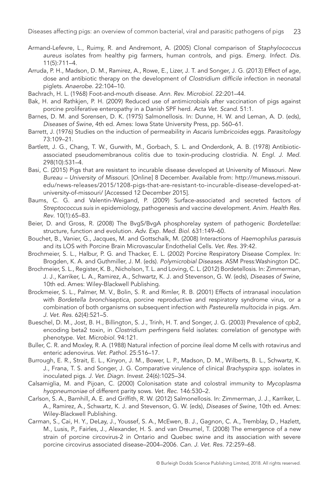- [Armand-Lefevre, L., Ruimy, R. and Andremont, A. \(2005\) Clonal comparison of](http://dx.doi.org/http://dx.doi.org/10.3201/eid1105.040866) *Staphylococcus aureus* [isolates from healthy pig farmers, human controls, and pigs.](http://dx.doi.org/http://dx.doi.org/10.3201/eid1105.040866) *Emerg. Infect. Dis*. [11\(5\):711–4.](http://dx.doi.org/http://dx.doi.org/10.3201/eid1105.040866)
- [Arruda, P. H., Madson, D. M., Ramirez, A., Rowe, E., Lizer, J. T. and Songer, J. G. \(2013\) Effect of age,](http://dx.doi.org/http://dx.doi.org/10.1016/j.anaerobe.2013.04.010) [dose and antibiotic therapy on the development of](http://dx.doi.org/http://dx.doi.org/10.1016/j.anaerobe.2013.04.010) *Clostridium difficile* infection in neonatal piglets. *Anaerobe*[. 22:104–10.](http://dx.doi.org/http://dx.doi.org/10.1016/j.anaerobe.2013.04.010)
- [Bachrach, H. L. \(1968\) Foot-and-mouth disease.](http://dx.doi.org/http://dx.doi.org/10.1146/annurev.mi.22.100168.001221) *Ann. Rev. Microbiol.* 22:201–44.
- Bak, H. and Rathkjen, P. H. (2009) Reduced use of antimicrobials after vaccination of pigs against porcine proliferative enteropathy in a Danish SPF herd. *Acta Vet. Scand*. 51:1.
- Barnes, D. M. and Sorensen, D. K. (1975) Salmonellosis. In: Dunne, H. W. and Leman, A. D. (eds), *Diseases of Swine*, 4th ed. Ames: Iowa State University Press, pp. 560–61.
- [Barrett, J. \(1976\) Studies on the induction of permeability in](http://dx.doi.org/http://dx.doi.org/10.1017/S0031182000051374) *Ascaris lumbricoides* eggs. *Parasitology* [73:109–21.](http://dx.doi.org/http://dx.doi.org/10.1017/S0031182000051374)
- [Bartlett, J. G., Chang, T. W., Gurwith, M., Gorbach, S. L. and Onderdonk, A. B. \(1978\) Antibiotic](http://dx.doi.org/http://dx.doi.org/10.1056/NEJM197803092981003)[associated pseudomembranous colitis due to toxin-producing clostridia.](http://dx.doi.org/http://dx.doi.org/10.1056/NEJM197803092981003) *N. Engl. J. Med*. [298\(10\):531–4.](http://dx.doi.org/http://dx.doi.org/10.1056/NEJM197803092981003)
- Basi, C. (2015) Pigs that are resistant to incurable disease developed at University of Missouri. *New Bureau – University of Missouri*. [Online] 8 December. Available from: http://munews.missouri. edu/news-releases/2015/1208-pigs-that-are-resistant-to-incurable-disease-developed-atuniversity-of-missouri/ [Accessed 12 December 2015].
- [Baums, C. G. and Valentin-Weigand, P. \(2009\) Surface-associated and secreted factors of](http://dx.doi.org/http://dx.doi.org/10.1017/S146625230999003X) *Streptococcus suis* [in epidemiology, pathogenesis and vaccine development.](http://dx.doi.org/http://dx.doi.org/10.1017/S146625230999003X) *Anim. Health Res. Rev*[. 10\(1\):65–83.](http://dx.doi.org/http://dx.doi.org/10.1017/S146625230999003X)
- Beier, D. and Gross, R. (2008) The BvgS/BvgA phosphorelay system of pathogenic *Bordetellae*: structure, function and evolution. *Adv. Exp. Med. Biol.* 631:149–60.
- [Bouchet, B., Vanier, G., Jacques, M. and Gottschalk, M. \(2008\) Interactions of](http://dx.doi.org/http://dx.doi.org/10.1051/vetres:2008019) *Haemophilus parasuis* [and its LOS with Porcine Brain Microvascular Endothelial Cells.](http://dx.doi.org/http://dx.doi.org/10.1051/vetres:2008019) *Vet. Res*. 39:42.
- Brochmeier, S. L., Halbur, P. G. and Thacker, E. L. (2002) Porcine Respiratory Disease Complex. In: Brogden, K. A. and Guthmiller, J. M. (eds). *Polymicrobial Diseases*. ASM Press:Washington DC.
- Brochmeier, S. L., Register, K. B., Nicholson, T. L. and Loving, C. L. (2012) Bordetellosis. In: Zimmerman, J. J., Karriker, L. A., Ramirez, A., Schwartz, K. J. and Stevenson, G. W. (eds), *Diseases of Swine*, 10th ed. Ames: Wiley-Blackwell Publishing.
- [Brockmeier, S. L., Palmer, M. V., Bolin, S. R. and Rimler, R. B. \(2001\) Effects of intranasal inoculation](http://dx.doi.org/http://dx.doi.org/10.2460/ajvr.2001.62.521) with *Bordetella bronchiseptica*[, porcine reproductive and respiratory syndrome virus, or a](http://dx.doi.org/http://dx.doi.org/10.2460/ajvr.2001.62.521) [combination of both organisms on subsequent infection with](http://dx.doi.org/http://dx.doi.org/10.2460/ajvr.2001.62.521) *Pasteurella multocida* in pigs. *Am. J. Vet. Res*[. 62\(4\):521–5.](http://dx.doi.org/http://dx.doi.org/10.2460/ajvr.2001.62.521)
- [Bueschel, D. M., Jost, B. H., Billington, S. J., Trinh, H. T. and Songer, J. G. \(2003\) Prevalence of cpb2,](http://dx.doi.org/http://dx.doi.org/10.1016/S0378-1135(0300081-6)) encoding beta2 toxin, in *Clostridium perfringens* [field isolates: correlation of genotype with](http://dx.doi.org/http://dx.doi.org/10.1016/S0378-1135(0300081-6)) phenotype. *[Vet. Microbiol](http://dx.doi.org/http://dx.doi.org/10.1016/S0378-1135(0300081-6))*. 94:121.
- [Buller, C. R. and Moxley, R. A. \(1988\) Natural infection of porcine ileal dome M cells with rotavirus and](http://dx.doi.org/http://dx.doi.org/10.1177/030098588802500616) [enteric adenovirus.](http://dx.doi.org/http://dx.doi.org/10.1177/030098588802500616) *Vet. Pathol.* 25:516–17.
- [Burrough, E. R., Strait, E. L., Kinyon, J. M., Bower, L. P., Madson, D. M., Wilberts, B. L., Schwartz, K.](http://dx.doi.org/http://dx.doi.org/10.1177/1040638712457927)  [J., Frana, T. S. and Songer, J. G. Comparative virulence of clinical](http://dx.doi.org/http://dx.doi.org/10.1177/1040638712457927) *Brachyspira spp*. isolates in inoculated pigs. *[J. Vet. Diagn. Invest](http://dx.doi.org/http://dx.doi.org/10.1177/1040638712457927)*. 24(6):1025–34.
- [Calsamiglia, M. and Pijoan, C. \(2000\) Colonisation state and colostral immunity to](http://dx.doi.org/http://dx.doi.org/10.1136/vr.146.18.530) *Mycoplasma hyopneumoniae* [of different parity sows.](http://dx.doi.org/http://dx.doi.org/10.1136/vr.146.18.530) *Vet. Rec*. 146:530–2.
- Carlson, S. A., Barnhill, A. E. and Griffith, R. W. (2012) Salmonellosis. In: Zimmerman, J. J., Karriker, L. A., Ramirez, A., Schwartz, K. J. and Stevenson, G. W. (eds), *Diseases of Swine*, 10th ed. Ames: Wiley-Blackwell Publishing.
- Carman, S., Cai, H. Y., DeLay, J., Youssef, S. A., McEwen, B. J., Gagnon, C. A., Tremblay, D., Hazlett, M., Lusis, P., Fairles, J., Alexander, H. S. and van Dreumel, T. (2008) The emergence of a new strain of porcine circovirus-2 in Ontario and Quebec swine and its association with severe porcine circovirus associated disease–2004–2006. *Can. J. Vet. Res.* 72:259–68.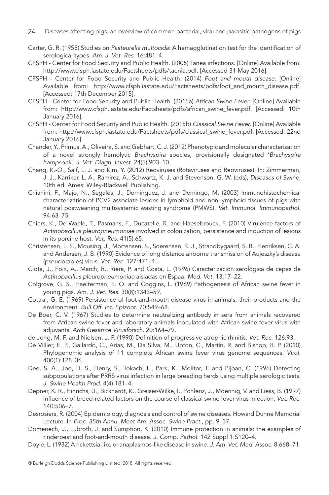- Carter, G. R. (1955) Studies on *Pasteurella multocida*: A hemagglutination test for the identification of serological types. *Am. J. Vet. Res.* 16:481–4.
- CFSPH Center for Food Security and Public Health. (2005) Tanea infections. [Online] Available from: http://www.cfsph.iastate.edu/Factsheets/pdfs/taenia.pdf. [Accessed 31 May 2016].
- CFSPH Center for Food Security and Public Health. (2014) *Foot and mouth disease*. [Online] Available from: http://www.cfsph.iastate.edu/Factsheets/pdfs/foot\_and\_mouth\_disease.pdf. [Accessed: 17th December 2015].
- CFSPH Center for Food Security and Public Health. (2015a) *African Swine Fever*. [Online] Available from: http://www.cfsph.iastate.edu/Factsheets/pdfs/african\_swine\_fever.pdf. [Accessed: 10th January 2016].
- CFSPH Center for Food Security and Public Health. (2015b) *Classical Swine Fever*. [Online] Available from: http://www.cfsph.iastate.edu/Factsheets/pdfs/classical\_swine\_fever.pdf. [Accessed: 22nd January 2016].
- [Chander, Y., Primus, A., Oliveira, S. and Gebhart, C. J. \(2012\) Phenotypic and molecular characterization](http://dx.doi.org/http://dx.doi.org/10.1177/1040638712456975) of a novel strongly hemolytic *Brachyspira* [species, provisionally designated '](http://dx.doi.org/http://dx.doi.org/10.1177/1040638712456975)*Brachyspira hampsonii*'. *[J. Vet. Diagn. Invest](http://dx.doi.org/http://dx.doi.org/10.1177/1040638712456975)*. 24(5):903–10.
- Chang, K.-O., Saif, L. J. and Kim, Y. (2012) Reoviruses (Rotaviruses and Reoviruses). In: Zimmerman, J. J., Karriker, L. A., Ramirez, A., Schwartz, K. J. and Stevenson, G. W. (eds), *Diseases of Swine*, 10th ed. Ames: Wiley-Blackwell Publishing.
- [Chianini, F., Majo, N., Segales, J., Dominguez, J. and Domingo, M. \(2003\) Immunohistochemical](http://dx.doi.org/http://dx.doi.org/10.1016/S0165-2427(0300079-5)) [characterization of PCV2 associate lesions in lymphoid and non-lymphoid tissues of pigs with](http://dx.doi.org/http://dx.doi.org/10.1016/S0165-2427(0300079-5)) [natural postweaning multisystemic wasting syndrome \(PMWS\).](http://dx.doi.org/http://dx.doi.org/10.1016/S0165-2427(0300079-5)) *Vet. Immunol. Immunopathol.* [94:63–75.](http://dx.doi.org/http://dx.doi.org/10.1016/S0165-2427(0300079-5))
- [Chiers, K., De Waele, T., Pasmans, F., Ducatelle, R. and Haesebrouck, F. \(2010\) Virulence factors of](http://dx.doi.org/http://dx.doi.org/10.1051/vetres/2010037) *Actinobacillus pleuropneumoniae* [involved in colonization, persistence and induction of lesions](http://dx.doi.org/http://dx.doi.org/10.1051/vetres/2010037) [in its porcine host.](http://dx.doi.org/http://dx.doi.org/10.1051/vetres/2010037) *Vet. Res.* 41(5):65.
- Christensen, L. S., Mousing, J., Mortensen, S., Soerensen, K. J., Strandbygaard, S. B., Henriksen, C. A. and Andersen, J. B. (1990) Evidence of long distance airborne transmission of Aujeszky's disease (pseudorabies) virus. *Vet. Rec.* 127:471–4.
- Clota, J., Foix, A., March, R., Riera, P. and Costa, L. (1996) Caracterización serológica de cepas de *Actinobacillus pleuropneumoniae* aisladas en Espaa. *Med. Vet.* 13:17–22.
- Colgrove, G. S., Haelterman, E. O. and Coggins, L. (1969) Pathogenesis of African swine fever in young pigs. *Am. J. Vet. Res*. 30(8):1343–59.
- Cottral, G. E. (1969) Persistence of foot-and-mouth disease virus in animals, their products and the environment. *Bull.Off. Int. Epizoot.* 70:549–68.
- [De Boer, C. V. \(1967\) Studies to determine neutralizing antibody in sera from animals recovered](http://dx.doi.org/http://dx.doi.org/10.1007/BF01241270) [from African swine fever and laboratory animals inoculated with African swine fever virus with](http://dx.doi.org/http://dx.doi.org/10.1007/BF01241270) adjuvants. *[Arch Gesamte Virusforsch.](http://dx.doi.org/http://dx.doi.org/10.1007/BF01241270)* 20:164–79.
- de Jong, M. F. and Nielsen, J. P. (1990) Definition of progressive atrophic rhinitis. *Vet. Rec.* 126:93.
- [De Villier, E. P., Gallardo, C., Arias, M., Da Silva, M., Upton, C., Martin, R. and Bishop, R. P. \(2010\)](http://dx.doi.org/http://dx.doi.org/10.1016/j.virol.2010.01.019) [Phylogenomic analysis of 11 complete African swine fever virus genome sequences.](http://dx.doi.org/http://dx.doi.org/10.1016/j.virol.2010.01.019) *Virol*. [400\(1\):128–36.](http://dx.doi.org/http://dx.doi.org/10.1016/j.virol.2010.01.019)
- Dee, S. A., Joo, H. S., Henry, S., Tokach, L., Park, K., Molitor, T. and Pijoan, C. (1996) Detecting subpopulations after PRRS virus infection in large breeding herds using multiple serologic tests. *J. Swine Health Prod*. 4(4):181–4.
- [Depner, K. R., Hinrichs, U., Bickhardt, K., Greiser-Wilke, I., Pohlenz, J., Moennig, V. and Liess, B. \(1997\)](http://dx.doi.org/http://dx.doi.org/10.1136/vr.140.19.506) [Influence of breed-related factors on the course of classical swine fever virus infection.](http://dx.doi.org/http://dx.doi.org/10.1136/vr.140.19.506) *Vet. Rec*. [140:506–7.](http://dx.doi.org/http://dx.doi.org/10.1136/vr.140.19.506)
- Desrosiers, R. (2004) Epidemiology, diagnosis and control of swine diseases. Howard Dunne Memorial Lecture. In *Proc. 35th Annu. Meet Am. Assoc. Swine Pract*., pp. 9–37.
- [Domenech, J., Lubroth, J. and Sumption, K. \(2010\) Immune protection in animals: the examples of](http://dx.doi.org/http://dx.doi.org/10.1016/j.jcpa.2009.11.003) [rinderpest and foot-and-mouth disease.](http://dx.doi.org/http://dx.doi.org/10.1016/j.jcpa.2009.11.003) *J. Comp. Pathol.* 142 Suppl 1:S120–4.
- Doyle, L. (1932) A rickettsia-like or anaplasmos-like disease in swine. *J. Am. Vet. Med. Assoc.* 8:668–71.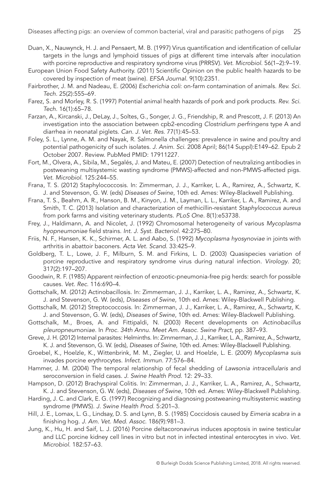- [Duan, X., Nauwynck, H. J. and Pensaert, M. B. \(1997\) Virus quantification and identification of cellular](http://dx.doi.org/http://dx.doi.org/10.1016/S0378-1135(9601347-8)) [targets in the lungs and lymphoid tissues of pigs at different time intervals after inoculation](http://dx.doi.org/http://dx.doi.org/10.1016/S0378-1135(9601347-8)) [with porcine reproductive and respiratory syndrome virus \(PRRSV\).](http://dx.doi.org/http://dx.doi.org/10.1016/S0378-1135(9601347-8)) *Vet. Microbiol*. 56(1–2):9–19.
- European Union Food Safety Authority. (2011) Scientific Opinion on the public health hazards to be covered by inspection of meat (swine). *EFSA Journal*. 9(10):2351.
- [Fairbrother, J. M. and Nadeau, E. \(2006\)](http://dx.doi.org/http://dx.doi.org/10.20506/rst.25.2.1682) *Escherichia coli*: on-farm contamination of animals. *Rev. Sci. Tech*[. 25\(2\):555–69.](http://dx.doi.org/http://dx.doi.org/10.20506/rst.25.2.1682)
- [Farez, S. and Morley, R. S. \(1997\) Potential animal health hazards of pork and pork products.](http://dx.doi.org/http://dx.doi.org/10.20506/rst.16.1.992) *Rev. Sci. Tech*[. 16\(1\):65–78.](http://dx.doi.org/http://dx.doi.org/10.20506/rst.16.1.992)
- Farzan, A., Kircanski, J., DeLay, J., Soltes, G., Songer, J. G., Friendship, R. and Prescott, J. F. (2013) An investigation into the association between cpb2-encoding *Clostridium perfringens* type A and diarrhea in neonatal piglets. *Can. J. Vet. Res*. 77(1):45–53.
- [Foley, S. L., Lynne, A. M. and Nayak, R. Salmonella challenges: prevalence in swine and poultry and](http://dx.doi.org/http://dx.doi.org/10.2527/jas.2007-0464) potential pathogenicity of such isolates. *J. Anim. Sci*[. 2008 April; 86\(14 Suppl\):E149–62. Epub 2](http://dx.doi.org/http://dx.doi.org/10.2527/jas.2007-0464) [October 2007. Review. PubMed PMID: 17911227.](http://dx.doi.org/http://dx.doi.org/10.2527/jas.2007-0464)
- [Fort, M., Olvera, A., Sibila, M., Segalés, J. and Mateu, E. \(2007\) Detection of neutralizing antibodies in](http://dx.doi.org/http://dx.doi.org/10.1016/j.vetmic.2007.06.004) [postweaning multisystemic wasting syndrome \(PMWS\)-affected and non-PMWS-affected pigs.](http://dx.doi.org/http://dx.doi.org/10.1016/j.vetmic.2007.06.004) *Vet. Microbiol*[. 125:244–55.](http://dx.doi.org/http://dx.doi.org/10.1016/j.vetmic.2007.06.004)
- Frana, T. S. (2012) Staphylococcosis. In: Zimmerman, J. J., Karriker, L. A., Ramirez, A., Schwartz, K. J. and Stevenson, G. W. (eds) *Diseases of Swine*, 10th ed. Ames: Wiley-Blackwell Publishing.
- [Frana, T. S., Beahm, A. R., Hanson, B. M., Kinyon, J. M., Layman, L. L., Karriker, L. A., Ramirez, A. and](http://dx.doi.org/http://dx.doi.org/10.1371/journal.pone.0053738) [Smith, T. C. \(2013\) Isolation and characterization of methicillin-resistant](http://dx.doi.org/http://dx.doi.org/10.1371/journal.pone.0053738) *Staphylococcus aureus* [from pork farms and visiting veterinary students.](http://dx.doi.org/http://dx.doi.org/10.1371/journal.pone.0053738) *PLoS One*. 8(1):e53738.
- [Frey, J., Haldimann, A. and Nicolet, J. \(1992\) Chromosomal heterogeneity of various](http://dx.doi.org/http://dx.doi.org/10.1099/00207713-42-2-275) *Mycoplasma hyopneumoniae* field strains. *[Int. J. Syst. Bacteriol.](http://dx.doi.org/http://dx.doi.org/10.1099/00207713-42-2-275)* 42:275–80.
- Friis, N. F., Hansen, K. K., Schirmer, A. L. and Aabo, S. (1992) *Mycoplasma hyosynoviae* in joints with arthritis in abattoir baconers. *Acta Vet. Scand*. 33:425–9.
- [Goldberg, T. L., Lowe, J. F., Milburn, S. M. and Firkins, L. D. \(2003\) Quasispecies variation of](http://dx.doi.org/http://dx.doi.org/10.1016/j.virol.2003.07.009) [porcine reproductive and respiratory syndrome virus during natural infection.](http://dx.doi.org/http://dx.doi.org/10.1016/j.virol.2003.07.009) *Virology*. 20; [317\(2\):197–207.](http://dx.doi.org/http://dx.doi.org/10.1016/j.virol.2003.07.009)
- [Goodwin, R. F. \(1985\) Apparent reinfection of enzootic-pneumonia-free pig herds: search for possible](http://dx.doi.org/http://dx.doi.org/10.1136/vr.116.26.690) causes. *Vet. Rec*[. 116:690–4.](http://dx.doi.org/http://dx.doi.org/10.1136/vr.116.26.690)
- Gottschalk, M. (2012) Actinobacillosis. In: Zimmerman, J. J., Karriker, L. A., Ramirez, A., Schwartz, K. J. and Stevenson, G. W. (eds), *Diseases of Swine*, 10th ed. Ames: Wiley-Blackwell Publishing.
- Gottschalk, M. (2012) Streptococcosis. In: Zimmerman, J. J., Karriker, L. A., Ramirez, A., Schwartz, K. J. and Stevenson, G. W. (eds), *Diseases of Swine*, 10th ed. Ames: Wiley-Blackwell Publishing.
- Gottschalk, M., Broes, A. and Fittipaldi, N. (2003) Recent developments on *Actinobacillus pleuropneumoniae*. In *Proc. 34th Annu. Meet Am. Assoc. Swine Pract*, pp. 387–93.
- Greve, J. H. (2012) Internal parasites: Helminths. In: Zimmerman, J. J., Karriker, L. A., Ramirez, A., Schwartz, K. J. and Stevenson, G. W. (eds), *Diseases of Swine*, 10th ed. Ames: Wiley-Blackwell Publishing.
- [Groebel, K., Hoelzle, K., Wittenbrink, M. M., Ziegler, U. and Hoelzle, L. E. \(2009\)](http://dx.doi.org/http://dx.doi.org/10.1128/IAI.00773-08) *Mycoplasma suis* [invades porcine erythrocytes.](http://dx.doi.org/http://dx.doi.org/10.1128/IAI.00773-08) *Infect. Immun.* 77:576–84.
- Hammer, J. M. (2004) The temporal relationship of fecal shedding of *Lawsonia intracellularis* and seroconversion in field cases. *J. Swine Health Prod.* 12: 29–33.
- Hampson, D. (2012) Brachyspiral Colitis. In: Zimmerman, J. J., Karriker, L. A., Ramirez, A., Schwartz, K. J. and Stevenson, G. W. (eds), *Diseases of Swine*, 10th ed. Ames: Wiley-Blackwell Publishing.
- Harding, J. C. and Clark, E. G. (1997) Recognizing and diagnosing postweaning multisystemic wasting syndrome (PMWS). *J. Swine Health Prod*. 5:201–3.
- Hill, J. E., Lomax, L. G., Lindsay, D. S. and Lynn, B. S. (1985) Coccidosis caused by *Eimeria scabra* in a finishing hog. *J. Am. Vet. Med. Assoc*. 186(9):981–3.
- [Jung, K., Hu, H. and Saif, L. J. \(2016\) Porcine deltacoronavirus induces apoptosis in swine testicular](http://dx.doi.org/http://dx.doi.org/10.1016/j.vetmic.2015.10.022) [and LLC porcine kidney cell lines in vitro but not in infected intestinal enterocytes in vivo.](http://dx.doi.org/http://dx.doi.org/10.1016/j.vetmic.2015.10.022) *Vet. Microbiol*[. 182:57–63.](http://dx.doi.org/http://dx.doi.org/10.1016/j.vetmic.2015.10.022)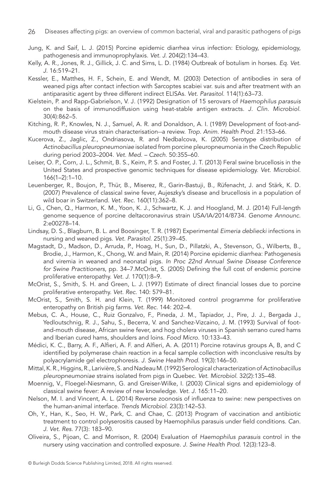- [Jung, K. and Saif, L. J. \(2015\) Porcine epidemic diarrhea virus infection: Etiology, epidemiology,](http://dx.doi.org/http://dx.doi.org/10.1016/j.tvjl.2015.02.017) [pathogenesis and immunoprophylaxis.](http://dx.doi.org/http://dx.doi.org/10.1016/j.tvjl.2015.02.017) *Vet. J*. 204(2):134–43.
- [Kelly, A. R., Jones, R. J., Gillick, J. C. and Sims, L. D. \(1984\) Outbreak of botulism in horses.](http://dx.doi.org/http://dx.doi.org/10.1111/j.2042-3306.1984.tb02005.x) *Eq. Vet. J*[. 16:519–21.](http://dx.doi.org/http://dx.doi.org/10.1111/j.2042-3306.1984.tb02005.x)
- [Kessler, E., Matthes, H. F., Schein, E. and Wendt, M. \(2003\) Detection of antibodies in sera of](http://dx.doi.org/http://dx.doi.org/10.1016/S0304-4017(0300098-0)) [weaned pigs after contact infection with Sarcoptes scabiei var. suis and after treatment with an](http://dx.doi.org/http://dx.doi.org/10.1016/S0304-4017(0300098-0)) [antiparasitic agent by three different indirect ELISAs.](http://dx.doi.org/http://dx.doi.org/10.1016/S0304-4017(0300098-0)) *Vet. Parasitol*. 114(1):63–73.
- Kielstein, P. and Rapp-Gabrielson, V. J. (1992) Designation of 15 serovars of *Haemophilus parasuis* on the basis of immunodiffusion using heat-stable antigen extracts. *J. Clin. Microbiol*. 30(4):862–5.
- [Kitching, R. P., Knowles, N. J., Samuel, A. R. and Donaldson, A. I. \(1989\) Development of foot-and](http://dx.doi.org/http://dx.doi.org/10.1007/BF02250825)[mouth disease virus strain characterisation--a review.](http://dx.doi.org/http://dx.doi.org/10.1007/BF02250825) *Trop. Anim. Health Prod.* 21:153–66.
- Kucerova, Z., Jaglic, Z., Ondriasova, R. and Nedbalcova, K. (2005) Serotype distribution of *Actinobacillus pleuropneumoniae* isolated from porcine pleuropneumonia in the Czech Republic during period 2003–2004. *Vet. Med. – Czech*. 50:355–60.
- [Leiser, O. P., Corn, J. L., Schmit, B. S., Keim, P. S. and Foster, J. T. \(2013\) Feral swine brucellosis in the](http://dx.doi.org/http://dx.doi.org/10.1016/j.vetmic.2013.02.025) [United States and prospective genomic techniques for disease epidemiology.](http://dx.doi.org/http://dx.doi.org/10.1016/j.vetmic.2013.02.025) *Vet. Microbiol.* [166\(1–2\):1–10.](http://dx.doi.org/http://dx.doi.org/10.1016/j.vetmic.2013.02.025)
- [Leuenberger, R., Boujon, P., Thür, B., Miserez, R., Garin-Bastuji, B., Rüfenacht, J. and Stärk, K. D.](http://dx.doi.org/http://dx.doi.org/10.1136/vr.160.11.362)  [\(2007\) Prevalence of classical swine fever, Aujeszky's disease and brucellosis in a population of](http://dx.doi.org/http://dx.doi.org/10.1136/vr.160.11.362) [wild boar in Switzerland.](http://dx.doi.org/http://dx.doi.org/10.1136/vr.160.11.362) *Vet. Rec.* 160(11):362–8.
- [Li, G., Chen, Q., Harmon, K. M., Yoon, K. J., Schwartz, K. J. and Hoogland, M. J. \(2014\) Full-length](http://dx.doi.org/http://dx.doi.org/10.1128/genomeA.01337-14) [genome sequence of porcine deltacoronavirus strain USA/IA/2014/8734.](http://dx.doi.org/http://dx.doi.org/10.1128/genomeA.01337-14) *Genome Announc*. [2:e00278–14.](http://dx.doi.org/http://dx.doi.org/10.1128/genomeA.01337-14)
- [Lindsay, D. S., Blagburn, B. L. and Boosinger, T. R. \(1987\) Experimental](http://dx.doi.org/http://dx.doi.org/10.1016/0304-4017(8790063-X)) *Eimeria debliecki* infections in [nursing and weaned pigs.](http://dx.doi.org/http://dx.doi.org/10.1016/0304-4017(8790063-X)) *Vet. Parasitol*. 25(1):39–45.
- Magstadt, D., Madson, D., Arruda, P., Hoag, H., Sun, D., Pillatzki, A., Stevenson, G., Wilberts, B., Brodie, J., Harmon, K., Chong, W. and Main, R. (2014) Porcine epidemic diarrhea: Pathogenesis and viremia in weaned and neonatal pigs. *In Proc 22nd Annual Swine Disease Conference for Swine Practitioners*, pp. 34–7.McOrist, S. (2005) Defining the full cost of endemic porcine proliferative enteropathy. *Vet. J*. 170(1):8–9.
- [McOrist, S., Smith, S. H. and Green, L. J. \(1997\) Estimate of direct financial losses due to porcine](http://dx.doi.org/http://dx.doi.org/10.1136/vr.140.22.579) [proliferative enteropathy.](http://dx.doi.org/http://dx.doi.org/10.1136/vr.140.22.579) *Vet. Rec.* 140: 579–81.
- [McOrist, S., Smith, S. H. and Klein, T. \(1999\) Monitored control programme for proliferative](http://dx.doi.org/http://dx.doi.org/10.1136/vr.144.8.202) [enteropathy on British pig farms.](http://dx.doi.org/http://dx.doi.org/10.1136/vr.144.8.202) *Vet. Rec*. 144: 202–4.
- [Mebus, C. A., House, C., Ruiz Gonzalvo, F., Pineda, J. M., Tapiador, J., Pire, J. J., Bergada J.,](http://dx.doi.org/http://dx.doi.org/10.1006/fmic.1993.1014) [Yedloutschnig, R. J., Sahu, S., Becerra, V. and Sanchez-Vizcaino, J. M. \(1993\) Survival of foot](http://dx.doi.org/http://dx.doi.org/10.1006/fmic.1993.1014)[and-mouth disease, African swine fever, and hog cholera viruses in Spanish serrano cured hams](http://dx.doi.org/http://dx.doi.org/10.1006/fmic.1993.1014) [and Iberian cured hams, shoulders and loins.](http://dx.doi.org/http://dx.doi.org/10.1006/fmic.1993.1014) *Food Micro.* 10:133–43.
- Médici, K. C., Barry, A. F., Alfieri, A. F. and Alfieri, A. A. (2011) Porcine rotavirus groups A, B, and C identified by polymerase chain reaction in a fecal sample collection with inconclusive results by polyacrylamide gel electrophoresis. *J. Swine Health Prod*. 19(3):146–50.
- [Mittal, K. R., Higgins, R., Larivière, S. and Nadeau M. \(1992\) Serological characterization of](http://dx.doi.org/http://dx.doi.org/10.1016/0378-1135(9290101-X)) *Actinobacillus pleuropneumoniae* [strains isolated from pigs in Quebec.](http://dx.doi.org/http://dx.doi.org/10.1016/0378-1135(9290101-X)) *Vet. Microbiol*. 32(2):135–48.
- [Moennig, V., Floegel-Niesmann, G. and Greiser-Wilke, I. \(2003\) Clinical signs and epidemiology of](http://dx.doi.org/http://dx.doi.org/10.1016/S1090-0233(0200112-0)) [classical swine fever: A review of new knowledge.](http://dx.doi.org/http://dx.doi.org/10.1016/S1090-0233(0200112-0)) *Vet. J.* 165:11–20.
- [Nelson, M. I. and Vincent, A. L. \(2014\) Reverse zoonosis of influenza to swine: new perspectives on](http://dx.doi.org/http://dx.doi.org/10.1016/j.tim.2014.12.002) [the human-animal interface.](http://dx.doi.org/http://dx.doi.org/10.1016/j.tim.2014.12.002) *Trends Microbiol*. 23(3):142–53.
- Oh, Y., Han, K., Seo, H. W., Park, C. and Chae, C. (2013) Program of vaccination and antibiotic treatment to control polyserositis caused by Haemophilus parasuis under field conditions. *Can. J. Vet. Res*. 77(3): 183–90.
- Oliveira, S., Pijoan, C. and Morrison, R. (2004) Evaluation of *Haemophilus parasuis* control in the nursery using vaccination and controlled exposure. *J. Swine Health Prod*. 12(3):123–8.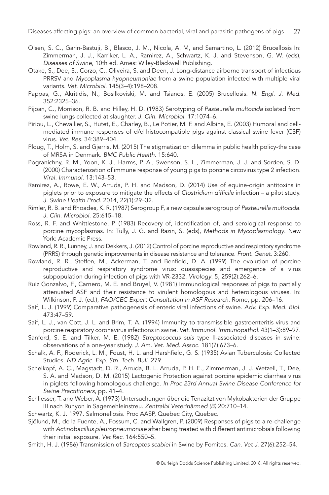- Olsen, S. C., Garin-Bastuji, B., Blasco, J. M., Nicola, A. M, and Samartino, L. (2012) Brucellosis In: Zimmerman, J. J., Karriker, L. A., Ramirez, A., Schwartz, K. J. and Stevenson, G. W. (eds), *Diseases of Swine*, 10th ed. Ames: Wiley-Blackwell Publishing.
- Otake, S., Dee, S., Corzo, C., Oliveira, S. and Deen, J. Long-distance airborne transport of infectious PRRSV and *Mycoplasma hyopneumoniae* from a swine population infected with multiple viral variants. *Vet. Microbiol*. 145(3–4):198–208.
- [Pappas, G., Akritidis, N., Bosilkoviski, M. and Tsianos, E. \(2005\) Brucellosis.](http://dx.doi.org/http://dx.doi.org/10.1056/NEJMra050570) *N. Engl. J. Med.* [352:2325–36.](http://dx.doi.org/http://dx.doi.org/10.1056/NEJMra050570)
- Pijoan, C., Morrison, R. B. and Hilley, H. D. (1983) Serotyping of *Pasteurella multocida* isolated from swine lungs collected at slaughter. *J. Clin. Microbiol*. 17:1074–6.
- [Piriou, L., Chevallier, S., Hutet, E., Charley, B., Le Potier, M. F. and Albina, E. \(2003\) Humoral and cell](http://dx.doi.org/http://dx.doi.org/10.1051/vetres:2003013)[mediated immune responses of d/d histocompatible pigs against classical swine fever \(CSF\)](http://dx.doi.org/http://dx.doi.org/10.1051/vetres:2003013) virus. *Vet. Res*[. 34:389–404.](http://dx.doi.org/http://dx.doi.org/10.1051/vetres:2003013)
- [Ploug, T., Holm, S. and Gjerris, M. \(2015\) The stigmatization dilemma in public health policy-the case](http://dx.doi.org/http://dx.doi.org/10.1186/s12889-015-2004-y) [of MRSA in Denmark.](http://dx.doi.org/http://dx.doi.org/10.1186/s12889-015-2004-y) *BMC Public Health*. 15:640.
- [Pogranichny, R. M., Yoon, K. J., Harms, P. A., Swenson, S. L., Zimmerman, J. J. and Sorden, S. D.](http://dx.doi.org/http://dx.doi.org/10.1089/vim.2000.13.143)  [\(2000\) Characterization of immune response of young pigs to porcine circovirus type 2 infection.](http://dx.doi.org/http://dx.doi.org/10.1089/vim.2000.13.143) *[Viral. Immunol](http://dx.doi.org/http://dx.doi.org/10.1089/vim.2000.13.143)*. 13:143–53.
- Ramirez, A., Rowe, E. W., Arruda, P. H. and Madson, D. (2014) Use of equine-origin antitoxins in piglets prior to exposure to mitigate the effects of *Clostridium difficile* infection – a pilot study. *J. Swine Health Prod*. 2014, 22(1):29–32.
- Rimler, R. B. and Rhoades, K. R. (1987) Serogroup F, a new capsule serogroup of *Pasteurella multocida. J. Clin. Microbiol*. 25:615–18.
- Ross, R. F. and Whittlestone, P. (1983) Recovery of, identification of, and serological response to porcine mycoplasmas. In: Tully, J. G. and Razin, S. (eds), *Methods in Mycoplasmology*. New York: Academic Press.
- Rowland, R. R., Lunney, J. and Dekkers, J. (2012) Control of porcine reproductive and respiratory syndrome (PRRS) through genetic improvements in disease resistance and tolerance. *Front. Genet*. 3:260.
- [Rowland, R. R., Steffen, M., Ackerman, T. and Benfield, D. A. \(1999\) The evolution of porcine](http://dx.doi.org/http://dx.doi.org/10.1006/viro.1999.9789) [reproductive and respiratory syndrome virus: quasispecies and emergence of a virus](http://dx.doi.org/http://dx.doi.org/10.1006/viro.1999.9789) [subpopulation during infection of pigs with VR-2332.](http://dx.doi.org/http://dx.doi.org/10.1006/viro.1999.9789) *Virology*. 5, 259(2):262–6.
- Ruiz Gonzalvo, F., Carnero, M. E. and Bruyel, V. (1981) Immunological responses of pigs to partially attenuated ASF and their resistance to virulent homologous and heterologous viruses. In: Wilkinson, P. J. (ed.), *FAO/CEC Expert Consultation in ASF Research*. Rome, pp. 206–16.
- Saif, L. J. (1999) Comparative pathogenesis of enteric viral infections of swine. *Adv. Exp. Med. Biol*. 473:47–59.
- [Saif, L. J., van Cott, J. L. and Brim, T. A. \(1994\) Immunity to transmissible gastroenteritis virus and](http://dx.doi.org/http://dx.doi.org/10.1016/0165-2427(9490124-4)) [porcine respiratory coronavirus infections in swine.](http://dx.doi.org/http://dx.doi.org/10.1016/0165-2427(9490124-4)) *Vet. Immunol. Immunopathol*. 43(1–3):89–97.
- Sanford, S. E. and Tilker, M. E. (1982) *Streptococcus suis* type II-associated diseases in swine: observations of a one-year study. *J. Am. Vet. Med. Assoc*. 181(7):673–6.
- Schalk, A. F., Roderick, L. M., Foust, H. L. and Harshfield, G. S. (1935) Avian Tuberculosis: Collected Studies. *ND Agric. Exp. Stn. Tech. Bull.* 279.
- Schelkopf, A. C., Magstadt, D. R., Arruda, B. L. Arruda, P. H. E., Zimmerman, J. J. Wetzell, T., Dee, S. A. and Madson, D. M. (2015) Lactogenic Protection against porcine epidemic diarrhea virus in piglets following homologous challenge. *In Proc 23rd Annual Swine Disease Conference for Swine Practitioners*, pp. 41–4.
- Schliesser, T. and Weber, A. (1973) Untersuchungen über die Tenazitzt von Mykobakterien der Gruppe III nach Runyon in Sagemehleinstreu. *Zentralbl Veterinärmed (B)* 20:710–14.
- Schwartz, K. J. 1997. Salmonellosis. Proc AASP, Quebec City, Quebec.
- Sjölund, M., de la Fuente, A., Fossum, C. and Wallgren, P. (2009) Responses of pigs to a re-challenge with *Actinobacillus pleuropneumoniae* after being treated with different antimicrobials following their initial exposure. *Vet Rec.* 164:550–5.
- Smith, H. J. (1986) Transmission of *Sarcoptes scabiei* in Swine by Fomites. *Can. Vet J*. 27(6):252–54.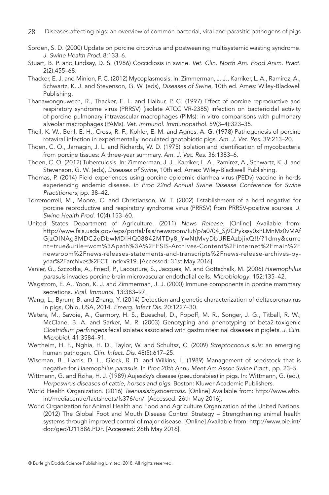- Sorden, S. D. (2000) Update on porcine circovirus and postweaning multisystemic wasting syndrome. *J. Swine Health Prod*. 8:133–6.
- [Stuart, B. P. and Lindsay, D. S. \(1986\) Coccidiosis in swine.](http://dx.doi.org/http://dx.doi.org/10.1016/S0749-0720(1531256-1)) *Vet. Clin. North Am. Food Anim. Pract*. [2\(2\):455–68.](http://dx.doi.org/http://dx.doi.org/10.1016/S0749-0720(1531256-1))
- Thacker, E. J. and Minion, F. C. (2012) Mycoplasmosis. In: Zimmerman, J. J., Karriker, L. A., Ramirez, A., Schwartz, K. J. and Stevenson, G. W. (eds), *Diseases of Swine*, 10th ed. Ames: Wiley-Blackwell Publishing.
- [Thanawongnuwech, R., Thacker, E. L. and Halbur, P. G. \(1997\) Effect of porcine reproductive and](http://dx.doi.org/http://dx.doi.org/10.1016/S0165-2427(9700078-0)) [respiratory syndrome virus \(PRRSV\) \(isolate ATCC VR-2385\) infection on bactericidal activity](http://dx.doi.org/http://dx.doi.org/10.1016/S0165-2427(9700078-0)) [of porcine pulmonary intravascular macrophages \(PIMs\): in vitro comparisons with pulmonary](http://dx.doi.org/http://dx.doi.org/10.1016/S0165-2427(9700078-0)) [alveolar macrophages \(PAMs\).](http://dx.doi.org/http://dx.doi.org/10.1016/S0165-2427(9700078-0)) *Vet. Immunol. Immunopathol*. 59(3–4):323–35.
- Theil, K. W., Bohl, E. H., Cross, R. F., Kohler, E. M. and Agnes, A. G. (1978) Pathogenesis of porcine rotaviral infection in experimentally inoculated gnotobiotic pigs. *Am. J. Vet. Res*. 39:213–20.
- Thoen, C. O., Jarnagin, J. L. and Richards, W. D. (1975) Isolation and identification of mycobacteria from porcine tissues: A three-year summary. *Am. J. Vet. Res.* 36:1383–6.
- Thoen, C. O. (2012) Tuberculosis. In: Zimmerman, J. J., Karriker, L. A., Ramirez, A., Schwartz, K. J. and Stevenson, G. W. (eds), *Diseases of Swine*, 10th ed. Ames: Wiley-Blackwell Publishing.
- Thomas, P. (2014) Field experiences using porcine epidemic diarrhea virus (PEDv) vaccine in herds experiencing endemic disease. *In Proc 22nd Annual Swine Disease Conference for Swine Practitioners*, pp. 38–42.
- Torremorrell, M., Moore, C. and Christianson, W. T. (2002) Establishment of a herd negative for porcine reproductive and respiratory syndrome virus (PRRSV) from PRRSV-positive sources. *J. Swine Health Prod*. 10(4):153–60.
- United States Department of Agriculture. (2011) *News Release*. [Online] Available from: [http://www.fsis.usda.gov/wps/portal/fsis/newsroom/!ut/p/a0/04\\_Sj9CPykssy0xPLMnMz0vMAf](http://www.fsis.usda.gov/wps/portal/fsis/newsroom/!ut/p/a0/04_Sj9CPykssy0xPLMnMz0vMAf) GjzOINAg3MDC2dDbwMDIHQ08842MTDy8\_YwNtMvyDbUREAzbjixQ!!/?1dmy&curre nt=true&urile=wcm%3Apath%3A%2FFSIS-Archives-Content%2Finternet%2Fmain%2F newsroom%2Fnews-releases-statements-and-transcripts%2Fnews-release-archives-byyear%2Farchives%2FCT\_Index919. [Accessed: 31st May 2016].
- [Vanier, G., Szczotka, A., Friedl, P., Lacouture, S., Jacques, M. and Gottschalk, M. \(2006\)](http://dx.doi.org/http://dx.doi.org/10.1099/mic.0.28312-0) *Haemophilus parasuis* [invades porcine brain microvascular endothelial cells.](http://dx.doi.org/http://dx.doi.org/10.1099/mic.0.28312-0) *Microbiology*. 152:135–42.
- [Wagstrom, E. A., Yoon, K. J. and Zimmerman, J. J. \(2000\) Immune components in porcine mammary](http://dx.doi.org/http://dx.doi.org/10.1089/08828240050144699) secretions. *[Viral. Immunol](http://dx.doi.org/http://dx.doi.org/10.1089/08828240050144699)*. 13:383–97.
- Wang, L., Byrum, B. and Zhang, Y. (2014) Detection and genetic characterization of deltacoronavirus in pigs, Ohio, USA, 2014. *Emerg. Infect Dis*. 20:1227–30.
- [Waters, M., Savoie, A., Garmory, H. S., Bueschel, D., Popoff, M. R., Songer, J. G., Titball, R. W.,](http://dx.doi.org/http://dx.doi.org/10.1128/JCM.41.8.3584-3591.2003) [McClane, B. A. and Sarker, M. R. \(2003\) Genotyping and phenotyping of beta2-toxigenic](http://dx.doi.org/http://dx.doi.org/10.1128/JCM.41.8.3584-3591.2003) *Clostridium perfringens* [fecal isolates associated with gastrointestinal diseases in piglets.](http://dx.doi.org/http://dx.doi.org/10.1128/JCM.41.8.3584-3591.2003) *J. Clin. Microbiol*[. 41:3584–91.](http://dx.doi.org/http://dx.doi.org/10.1128/JCM.41.8.3584-3591.2003)
- [Wertheim, H. F., Nghia, H. D., Taylor, W. and Schultsz, C. \(2009\)](http://dx.doi.org/http://dx.doi.org/10.1086/596763) *Streptococcus suis*: an emerging [human pathogen.](http://dx.doi.org/http://dx.doi.org/10.1086/596763) *Clin. Infect. Dis*. 48(5):617–25.
- Wiseman, B., Harris, D. L., Glock, R. D. and Wilkins, L. (1989) Management of seedstock that is negative for *Haemophilus parasuis*. In *Proc 20th Annu Meet Am Assoc Swine Pract*., pp. 23–5.
- Wittmann, G. and Rziha, H. J. (1989) Aujeszky's disease (pseudorabies) in pigs. In: Wittmann, G. (ed.), *Herpesvirus diseases of cattle, horses and pigs*. Boston: Kluwer Academic Publishers.
- World Health Organization. (2016) *Taeniasis/cysticercosis.* [Online] Available from: [http://www.who.](http://www.who.int/mediacentre/factsheets/fs376/en/) [int/mediacentre/factsheets/fs376/en/](http://www.who.int/mediacentre/factsheets/fs376/en/). [Accessed: 26th May 2016].
- World Organization for Animal Health and Food and Agriculture Organization of the United Nations. (2012) The Global Foot and Mouth Disease Control Strategy – Strengthening animal health systems through improved control of major disease. [Online] Available from: [http://www.oie.int/](http://www.oie.int/doc/ged/D11886.PDF) [doc/ged/D11886.PDF](http://www.oie.int/doc/ged/D11886.PDF). [Accessed: 26th May 2016].